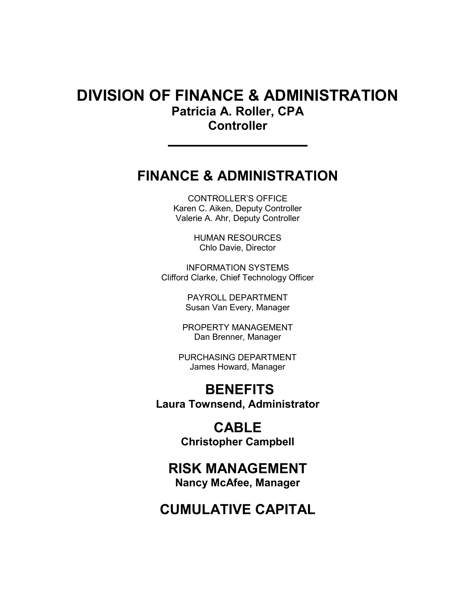# DIVISION OF FINANCE & ADMINISTRATION Patricia A. Roller, CPA **Controller**

# FINANCE & ADMINISTRATION

CONTROLLER'S OFFICE Karen C. Aiken, Deputy Controller Valerie A. Ahr, Deputy Controller

> HUMAN RESOURCES Chlo Davie, Director

INFORMATION SYSTEMS Clifford Clarke, Chief Technology Officer

> PAYROLL DEPARTMENT Susan Van Every, Manager

PROPERTY MANAGEMENT Dan Brenner, Manager

PURCHASING DEPARTMENT James Howard, Manager

# **BENEFITS** Laura Townsend, Administrator

CABLE Christopher Campbell

# RISK MANAGEMENT

Nancy McAfee, Manager

# CUMULATIVE CAPITAL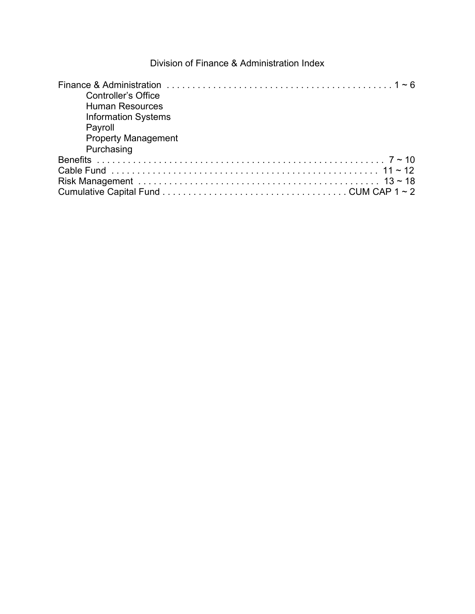## Division of Finance & Administration Index

| <b>Controller's Office</b> |  |
|----------------------------|--|
| <b>Human Resources</b>     |  |
| <b>Information Systems</b> |  |
| Payroll                    |  |
| <b>Property Management</b> |  |
| Purchasing                 |  |
|                            |  |
|                            |  |
|                            |  |
|                            |  |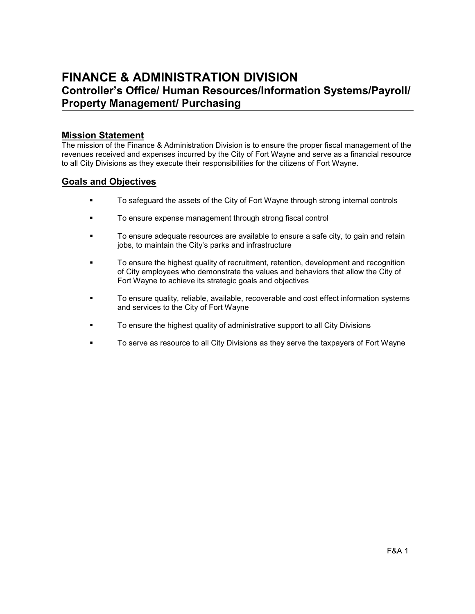# FINANCE & ADMINISTRATION DIVISION Controller's Office/ Human Resources/Information Systems/Payroll/ Property Management/ Purchasing

#### Mission Statement

The mission of the Finance & Administration Division is to ensure the proper fiscal management of the revenues received and expenses incurred by the City of Fort Wayne and serve as a financial resource to all City Divisions as they execute their responsibilities for the citizens of Fort Wayne.

## Goals and Objectives

- To safeguard the assets of the City of Fort Wayne through strong internal controls
- To ensure expense management through strong fiscal control
- To ensure adequate resources are available to ensure a safe city, to gain and retain jobs, to maintain the City's parks and infrastructure
- To ensure the highest quality of recruitment, retention, development and recognition of City employees who demonstrate the values and behaviors that allow the City of Fort Wayne to achieve its strategic goals and objectives
- To ensure quality, reliable, available, recoverable and cost effect information systems and services to the City of Fort Wayne
- To ensure the highest quality of administrative support to all City Divisions
- To serve as resource to all City Divisions as they serve the taxpayers of Fort Wayne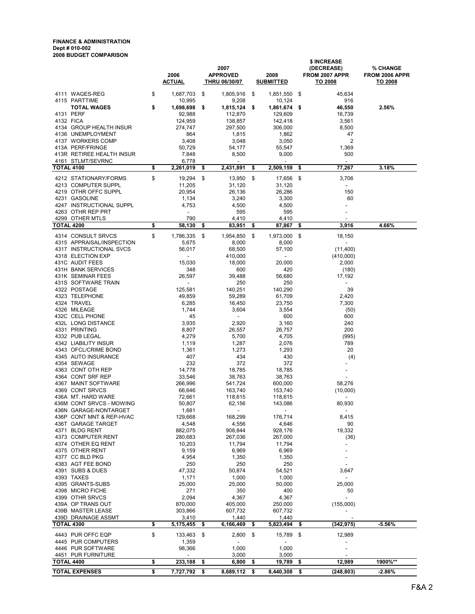#### FINANCE & ADMINISTRATION Dept # 010-002 2008 BUDGET COMPARISON

|                   |                                                | 2006<br><b>ACTUAL</b>                     | 2007<br><b>APPROVED</b><br><b>THRU 06/30/07</b> | 2008<br><b>SUBMITTED</b>          |      | \$ INCREASE<br>(DECREASE)<br>FROM 2007 APPR<br><u>TO 2008</u> | % CHANGE<br>FROM 2006 APPR<br>TO 2008 |
|-------------------|------------------------------------------------|-------------------------------------------|-------------------------------------------------|-----------------------------------|------|---------------------------------------------------------------|---------------------------------------|
|                   | 4111 WAGES-REG                                 | \$<br>1,687,703                           | \$<br>1,805,916                                 | \$<br>1,851,550 \$                |      | 45,634                                                        |                                       |
|                   | 4115 PARTTIME                                  | 10,995                                    | 9,208                                           | 10,124                            |      | 916                                                           |                                       |
|                   | <b>TOTAL WAGES</b>                             | \$<br>1,698,698                           | \$<br>1,815,124                                 | \$<br>1,861,674 \$                |      | 46,550                                                        | 2.56%                                 |
| 4132 FICA         | 4131 PERF                                      | 92,988<br>124,959                         | 112,870                                         | 129,609<br>142,418                |      | 16,739<br>3,561                                               |                                       |
|                   | 4134 GROUP HEALTH INSUR                        | 274,747                                   | 138,857<br>297,500                              | 306,000                           |      | 8,500                                                         |                                       |
|                   | 4136 UNEMPLOYMENT                              | 864                                       | 1,815                                           | 1,862                             |      | 47                                                            |                                       |
|                   | 4137 WORKERS COMP                              | 3,408                                     | 3,048                                           | 3,050                             |      | $\overline{2}$                                                |                                       |
|                   | 413A PERF/FRINGE                               | 50,729                                    | 54,177                                          | 55,547                            |      | 1,369                                                         |                                       |
|                   | 413R RETIREE HEALTH INSUR<br>4161 STLMT/SEVRNC | 7,848<br>6,778                            | 8,500<br>$\overline{\phantom{a}}$               | 9,000<br>$\overline{\phantom{a}}$ |      | 500<br>$\overline{a}$                                         |                                       |
| <b>TOTAL 4100</b> |                                                | \$<br>2,261,019                           | \$<br>2,431,891                                 | \$<br>2,509,159                   | \$   | 77,267                                                        | 3.18%                                 |
|                   | 4212 STATIONARY/FORMS                          | \$<br>19,294                              | \$<br>13,950                                    | \$<br>17,656 \$                   |      | 3,706                                                         |                                       |
|                   | 4213 COMPUTER SUPPL                            | 11,205                                    | 31,120                                          | 31,120                            |      | $\overline{\phantom{a}}$                                      |                                       |
|                   | 4219 OTHR OFFC SUPPL                           | 20,954                                    | 26,136                                          | 26,286                            |      | 150                                                           |                                       |
|                   | 4231 GASOLINE                                  | 1,134                                     | 3,240                                           | 3,300                             |      | 60                                                            |                                       |
|                   | 4247 INSTRUCTIONAL SUPPL                       | 4,753                                     | 4,500                                           | 4,500                             |      |                                                               |                                       |
|                   | 4263 OTHR REP PRT<br>4299 OTHER MTLS           | $\overline{\phantom{a}}$<br>790           | 595<br>4,410                                    | 595<br>4,410                      |      |                                                               |                                       |
| <b>TOTAL 4200</b> |                                                | \$<br>58,130                              | \$<br>83,951                                    | \$<br>87,867                      | \$   | 3,916                                                         | 4.66%                                 |
|                   | 4314 CONSULT SRVCS                             | \$<br>1,786,335                           | \$<br>1,954,850                                 | \$<br>1,973,000                   | - \$ | 18,150                                                        |                                       |
|                   | 4315 APPRAISAL/INSPECTION                      | 5,675                                     | 8,000                                           | 8,000                             |      | $\mathbf{r}$                                                  |                                       |
|                   | 4317 INSTRUCTIONAL SVCS                        | 56,017                                    | 68,500                                          | 57,100                            |      | (11, 400)                                                     |                                       |
|                   | 4318 ELECTION EXP                              | $\overline{\phantom{a}}$                  | 410,000                                         | $\overline{\phantom{a}}$          |      | (410,000)                                                     |                                       |
|                   | 431C AUDIT FEES                                | 15,030                                    | 18,000                                          | 20,000                            |      | 2,000                                                         |                                       |
|                   | 431H BANK SERVICES<br>431K SEMINAR FEES        | 348<br>26,597                             | 600<br>39,488                                   | 420<br>56,680                     |      | (180)<br>17,192                                               |                                       |
|                   | 431S SOFTWARE TRAIN                            | $\blacksquare$                            | 250                                             | 250                               |      | $\mathbf{r}$                                                  |                                       |
|                   | 4322 POSTAGE                                   | 125,581                                   | 140,251                                         | 140,290                           |      | 39                                                            |                                       |
|                   | 4323 TELEPHONE                                 | 49,859                                    | 59,289                                          | 61,709                            |      | 2,420                                                         |                                       |
|                   | 4324 TRAVEL                                    | 6,285                                     | 16,450                                          | 23,750                            |      | 7,300                                                         |                                       |
|                   | 4326 MILEAGE<br>432C CELL PHONE                | 1,744<br>45                               | 3,604<br>$\overline{\phantom{a}}$               | 3,554<br>600                      |      | (50)<br>600                                                   |                                       |
|                   | 432L LONG DISTANCE                             | 3,935                                     | 2,920                                           | 3,160                             |      | 240                                                           |                                       |
|                   | 4331 PRINTING                                  | 8,807                                     | 26,557                                          | 26,757                            |      | 200                                                           |                                       |
|                   | 4332 PUB LEGAL                                 | 4,279                                     | 5,700                                           | 4,705                             |      | (995)                                                         |                                       |
|                   | 4342 LIABILITY INSUR                           | 1,119                                     | 1,287                                           | 2,076                             |      | 789                                                           |                                       |
|                   | 4343 OFCL/CRIME BOND<br>4345 AUTO INSURANCE    | 1,361                                     | 1,273<br>434                                    | 1,293<br>430                      |      | 20                                                            |                                       |
|                   | 4354 SEWAGE                                    | 407<br>232                                | 372                                             | 372                               |      | (4)                                                           |                                       |
|                   | 4363 CONT OTH REP                              | 14,778                                    | 18,785                                          | 18,785                            |      |                                                               |                                       |
|                   | 4364 CONT SRF REP                              | 33,546                                    | 38,763                                          | 38,763                            |      |                                                               |                                       |
|                   | 4367 MAINT SOFTWARE                            | 266,996                                   | 541,724                                         | 600,000                           |      | 58,276                                                        |                                       |
|                   | 4369 CONT SRVCS<br>436A MT. HARD WARE          | 66,646                                    | 163,740                                         | 153,740                           |      | (10,000)<br>$\overline{\phantom{a}}$                          |                                       |
|                   | 436M CONT SRVCS - MOWING                       | 72,661<br>50,807                          | 118,615<br>62,156                               | 118,615<br>143,086                |      | 80,930                                                        |                                       |
|                   | 436N GARAGE-NONTARGET                          | 1,681                                     | $\overline{\phantom{a}}$                        |                                   |      | $\overline{\phantom{a}}$                                      |                                       |
|                   | 436P CONT MNT & REP-HVAC                       | 129,668                                   | 168,299                                         | 176,714                           |      | 8,415                                                         |                                       |
|                   | 436T GARAGE TARGET                             | 4,548                                     | 4,556                                           | 4,646                             |      | 90                                                            |                                       |
|                   | 4371 BLDG RENT<br>4373 COMPUTER RENT           | 882,075                                   | 908,844                                         | 928,176<br>267,000                |      | 19,332                                                        |                                       |
|                   | 4374 OTHER EQ RENT                             | 280,683<br>10,203                         | 267,036<br>11,794                               | 11,794                            |      | (36)                                                          |                                       |
|                   | 4375 OTHER RENT                                | 9,159                                     | 6,969                                           | 6,969                             |      |                                                               |                                       |
|                   | 4377 CC BLD PKG                                | 4,954                                     | 1,350                                           | 1,350                             |      |                                                               |                                       |
|                   | 4383 AGT FEE BOND                              | 250                                       | 250                                             | 250                               |      |                                                               |                                       |
|                   | 4391 SUBS & DUES                               | 47,332                                    | 50,874                                          | 54,521                            |      | 3,647                                                         |                                       |
|                   | 4393 TAXES<br>4395 GRANTS-SUBS                 | 1,171<br>25,000                           | 1,000<br>25,000                                 | 1,000<br>50,000                   |      | 25,000                                                        |                                       |
|                   | 4398 MICRO FICHE                               | 271                                       | 350                                             | 400                               |      | 50                                                            |                                       |
|                   | 4399 OTHR SRVCS                                | 2,094                                     | 4,367                                           | 4,367                             |      |                                                               |                                       |
|                   | 439A OP TRANS OUT                              | 870,000                                   | 405,000                                         | 250,000                           |      | (155,000)                                                     |                                       |
|                   | 439B MASTER LEASE<br>439D DRAINAGE ASSMT       | 303,866<br>3,410                          | 607,732<br>1,440                                | 607,732<br>1,440                  |      |                                                               |                                       |
| TOTAL 4300        |                                                | \$<br>5,175,455                           | \$<br>6,166,469                                 | \$<br>5,823,494                   | \$   | (342,975)                                                     | $-5.56%$                              |
|                   | 4443 PUR OFFC EQP                              | \$<br>133,463                             | \$<br>2,800                                     | \$<br>15,789                      | \$   | 12,989                                                        |                                       |
|                   | 4445 PUR COMPUTERS                             | 1,359                                     | $\overline{\phantom{a}}$                        |                                   |      |                                                               |                                       |
|                   | 4446 PUR SOFTWARE                              | 98,366                                    | 1,000                                           | 1,000                             |      |                                                               |                                       |
| TOTAL 4400        | 4451 PUR FURNITURE                             | \$<br>$\overline{\phantom{a}}$<br>233,188 | \$<br>3,000<br>6,800                            | \$<br>3,000<br>19,789             | \$   | 12,989                                                        | 1900%**                               |
|                   | <b>TOTAL EXPENSES</b>                          | \$<br>7,727,792                           | \$<br>8,689,112                                 | \$<br>8,440,308                   | \$   | (248, 803)                                                    | $-2.86%$                              |
|                   |                                                |                                           |                                                 |                                   |      |                                                               |                                       |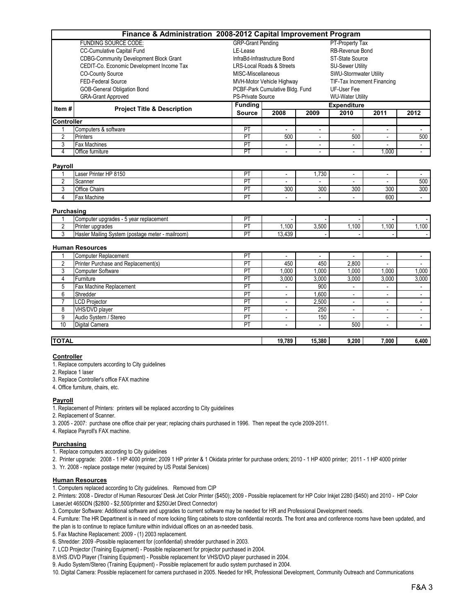|                   | Finance & Administration 2008-2012 Capital Improvement Program |                                                          |                                 |                          |                          |                          |                          |  |  |  |  |  |
|-------------------|----------------------------------------------------------------|----------------------------------------------------------|---------------------------------|--------------------------|--------------------------|--------------------------|--------------------------|--|--|--|--|--|
|                   | <b>FUNDING SOURCE CODE:</b>                                    | <b>GRP-Grant Pending</b>                                 |                                 |                          | PT-Property Tax          |                          |                          |  |  |  |  |  |
|                   | CC-Cumulative Capital Fund                                     | LE-Lease                                                 |                                 |                          | RB-Revenue Bond          |                          |                          |  |  |  |  |  |
|                   | <b>CDBG-Community Development Block Grant</b>                  | InfraBd-Infrastructure Bond                              |                                 |                          | ST-State Source          |                          |                          |  |  |  |  |  |
|                   | CEDIT-Co. Economic Development Income Tax                      | <b>LRS-Local Roads &amp; Streets</b>                     |                                 |                          | <b>SU-Sewer Utility</b>  |                          |                          |  |  |  |  |  |
|                   | <b>CO-County Source</b>                                        | MISC-Miscellaneous                                       |                                 |                          | SWU-Stormwater Utility   |                          |                          |  |  |  |  |  |
|                   | FED-Federal Source                                             | MVH-Motor Vehicle Highway<br>TIF-Tax Increment Financing |                                 |                          |                          |                          |                          |  |  |  |  |  |
|                   | <b>GOB-General Obligation Bond</b>                             |                                                          | PCBF-Park Cumulative Bldg. Fund |                          | UF-User Fee              |                          |                          |  |  |  |  |  |
|                   | <b>GRA-Grant Approved</b>                                      | <b>PS-Private Source</b>                                 |                                 |                          | <b>WU-Water Utility</b>  |                          |                          |  |  |  |  |  |
| Item#             |                                                                | <b>Funding</b>                                           |                                 |                          | <b>Expenditure</b>       |                          |                          |  |  |  |  |  |
|                   | <b>Project Title &amp; Description</b>                         | <b>Source</b>                                            | 2008                            | 2009                     | 2010                     | 2011                     | 2012                     |  |  |  |  |  |
| <b>Controller</b> |                                                                |                                                          |                                 |                          |                          |                          |                          |  |  |  |  |  |
| 1                 | Computers & software                                           | PT                                                       |                                 |                          |                          |                          |                          |  |  |  |  |  |
| $\overline{2}$    | <b>Printers</b>                                                | PT                                                       | 500                             | $\overline{\phantom{a}}$ | 500                      | $\overline{\phantom{a}}$ | 500                      |  |  |  |  |  |
| 3                 | <b>Fax Machines</b>                                            | PT                                                       | $\blacksquare$                  | $\blacksquare$           |                          |                          | $\blacksquare$           |  |  |  |  |  |
| 4                 | Office furniture                                               | $\overline{\mathsf{PT}}$                                 | $\blacksquare$                  |                          |                          | 1.000                    | $\blacksquare$           |  |  |  |  |  |
| <b>Payroll</b>    |                                                                |                                                          |                                 |                          |                          |                          |                          |  |  |  |  |  |
|                   | Laser Printer HP 8150                                          | PT                                                       | $\overline{\phantom{a}}$        | 1,730                    | $\overline{\phantom{a}}$ | $\overline{\phantom{a}}$ | $\overline{\phantom{a}}$ |  |  |  |  |  |
| $\overline{2}$    | Scanner                                                        | PT                                                       |                                 |                          |                          | $\overline{a}$           | 500                      |  |  |  |  |  |
| 3                 | <b>Office Chairs</b>                                           | PT                                                       | 300                             | 300                      | 300                      | 300                      | 300                      |  |  |  |  |  |
| $\overline{4}$    | Fax Machine                                                    | PT                                                       |                                 |                          |                          | 600                      |                          |  |  |  |  |  |
| Purchasing        |                                                                |                                                          |                                 |                          |                          |                          |                          |  |  |  |  |  |
|                   | Computer upgrades - 5 year replacement                         | PT                                                       |                                 |                          |                          |                          |                          |  |  |  |  |  |
| $\overline{2}$    | Printer upgrades                                               | PT                                                       | 1,100                           | 3,500                    | 1,100                    | 1,100                    | 1,100                    |  |  |  |  |  |
| 3                 | Hasler Mailing System (postage meter - mailroom)               | PT                                                       | 13,439                          |                          |                          |                          |                          |  |  |  |  |  |
|                   | <b>Human Resources</b>                                         |                                                          |                                 |                          |                          |                          |                          |  |  |  |  |  |
| $\mathbf{1}$      | Computer Replacement                                           | PT                                                       |                                 |                          |                          |                          |                          |  |  |  |  |  |
| $\overline{2}$    | Printer Purchase and Replacement(s)                            | PT                                                       | 450                             | 450                      | 2,800                    | $\mathbf{r}$             | $\mathbf{r}$             |  |  |  |  |  |
| 3                 | <b>Computer Software</b>                                       | PT                                                       | 1,000                           | 1,000                    | 1,000                    | 1,000                    | 1,000                    |  |  |  |  |  |
| $\overline{4}$    | Furniture                                                      | PT                                                       | 3,000                           | 3,000                    | 3,000                    | 3,000                    | 3,000                    |  |  |  |  |  |
| $\overline{5}$    | Fax Machine Replacement                                        | PT                                                       | $\blacksquare$                  | 900                      | $\blacksquare$           | $\blacksquare$           | $\sim$                   |  |  |  |  |  |
| 6                 | Shredder                                                       | PT                                                       | $\overline{a}$                  | 1.600                    | $\overline{a}$           | $\overline{\phantom{a}}$ | $\overline{\phantom{a}}$ |  |  |  |  |  |
| $\overline{7}$    | <b>LCD Projector</b>                                           | PT                                                       | $\overline{\phantom{a}}$        | 2,500                    | $\overline{a}$           | $\overline{a}$           | $\overline{\phantom{a}}$ |  |  |  |  |  |
| 8                 | VHS/DVD player                                                 | $\overline{PT}$                                          | $\overline{\phantom{a}}$        | 250                      | $\overline{\phantom{a}}$ | $\overline{\phantom{a}}$ | $\overline{\phantom{a}}$ |  |  |  |  |  |
| $\overline{9}$    | Audio System / Stereo                                          | PT                                                       | $\blacksquare$                  | 150                      | $\blacksquare$           | $\blacksquare$           | $\sim$                   |  |  |  |  |  |
| 10                | <b>Digital Camera</b>                                          | PT                                                       |                                 |                          | 500                      |                          |                          |  |  |  |  |  |
| <b>TOTAL</b>      |                                                                |                                                          | 19,789                          | 15.380                   | 9,200                    | 7.000                    | 6,400                    |  |  |  |  |  |

#### **Controller**

1. Replace computers according to City guidelines

2. Replace 1 laser

3. Replace Controller's office FAX machine

4. Office furniture, chairs, etc.

#### Payroll

1. Replacement of Printers: printers will be replaced according to City guidelines

- 2. Replacement of Scanner.
- 3. 2005 2007: purchase one office chair per year; replacing chairs purchased in 1996. Then repeat the cycle 2009-2011.

4. Replace Payroll's FAX machine.

#### **Purchasing**

1. Replace computers according to City guidelines

2. Printer upgrade: 2008 - 1 HP 4000 printer; 2009 1 HP printer & 1 Okidata printer for purchase orders; 2010 - 1 HP 4000 printer; 2011 - 1 HP 4000 printer

3. Yr. 2008 - replace postage meter (required by US Postal Services)

#### Human Resources

1. Computers replaced according to City guidelines. Removed from CIP

2. Printers: 2008 - Director of Human Resources' Desk Jet Color Printer (\$450); 2009 - Possible replacement for HP Color Inkjet 2280 (\$450) and 2010 - HP Color LaserJet 4650DN (\$2800 - \$2,500/printer and \$250/Jet Direct Connector)

3. Computer Software: Additional software and upgrades to current software may be needed for HR and Professional Development needs.

- 4. Furniture: The HR Department is in need of more locking filing cabinets to store confidential records. The front area and conference rooms have been updated, and the plan is to continue to replace furniture within individual offices on an as-needed basis.
- 5. Fax Machine Replacement: 2009 (1) 2003 replacement.

6. Shredder: 2009 -Possible replacement for (confidential) shredder purchased in 2003.

7. LCD Projector (Training Equipment) - Possible replacement for projector purchased in 2004.

- 8.VHS /DVD Player (Training Equipment) Possible replacement for VHS/DVD player purchased in 2004.
- 9. Audio System/Stereo (Training Equipment) Possible replacement for audio system purchased in 2004.

10. Digital Camera: Possible replacement for camera purchased in 2005. Needed for HR, Professional Development, Community Outreach and Communications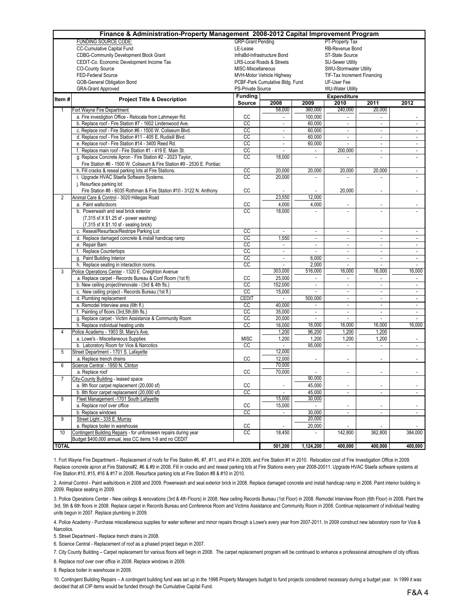|                | Finance & Administration-Property Management 2008-2012 Capital Improvement Program |                    |                                             |                          |                             |                              |                             |  |  |  |  |  |  |
|----------------|------------------------------------------------------------------------------------|--------------------|---------------------------------------------|--------------------------|-----------------------------|------------------------------|-----------------------------|--|--|--|--|--|--|
|                | <b>FUNDING SOURCE CODE:</b>                                                        |                    | <b>GRP-Grant Pending</b><br>PT-Property Tax |                          |                             |                              |                             |  |  |  |  |  |  |
|                | CC-Cumulative Capital Fund                                                         | LE-Lease           |                                             |                          | RB-Revenue Bond             |                              |                             |  |  |  |  |  |  |
|                | <b>CDBG-Community Development Block Grant</b>                                      |                    | InfraBd-Infrastructure Bond                 |                          | ST-State Source             |                              |                             |  |  |  |  |  |  |
|                | CEDIT-Co. Economic Development Income Tax                                          |                    | <b>LRS-Local Roads &amp; Streets</b>        |                          | <b>SU-Sewer Utility</b>     |                              |                             |  |  |  |  |  |  |
|                | <b>CO-County Source</b>                                                            | MISC-Miscellaneous |                                             |                          | SWU-Stormwater Utility      |                              |                             |  |  |  |  |  |  |
|                | FED-Federal Source                                                                 |                    | MVH-Motor Vehicle Highway                   |                          | TIF-Tax Increment Financing |                              |                             |  |  |  |  |  |  |
|                | GOB-General Obligation Bond                                                        |                    | PCBF-Park Cumulative Bldg. Fund             |                          | UF-User Fee                 |                              |                             |  |  |  |  |  |  |
|                | <b>GRA-Grant Approved</b>                                                          | PS-Private Source  |                                             |                          | <b>WU-Water Utility</b>     |                              |                             |  |  |  |  |  |  |
| Item#          | <b>Project Title &amp; Description</b>                                             | <b>Funding</b>     |                                             |                          | <b>Expenditure</b>          |                              |                             |  |  |  |  |  |  |
|                |                                                                                    | Source             | 2008                                        | 2009                     | 2010                        | 2011                         | 2012                        |  |  |  |  |  |  |
| $\mathbf{1}$   | Fort Wayne Fire Department                                                         |                    | 58,000                                      | 360.000                  | 240.000                     | 20,000                       |                             |  |  |  |  |  |  |
|                | a. Fire investigtion Office - Relocate from Lahmeyer Rd.                           | CC                 | $\sim$                                      | 100.000                  | ÷                           | $\sim$                       |                             |  |  |  |  |  |  |
|                | b. Replace roof - Fire Station #7 - 1602 Lindenwood Ave.                           | $\overline{cc}$    | $\overline{\phantom{a}}$                    | 60,000                   | $\overline{\phantom{a}}$    | $\overline{\phantom{a}}$     | $\blacksquare$              |  |  |  |  |  |  |
|                | c. Replace roof - Fire Station #6 - 1500 W. Coliseum Blvd.                         | CC                 | $\sim$                                      | 60,000                   | $\mathcal{L}_{\mathcal{A}}$ | $\mathbf{r}$                 | ÷.                          |  |  |  |  |  |  |
|                | d. Replace roof - Fire Station #11 - 405 E. Rudisill Blvd.                         | CC                 | $\overline{\phantom{a}}$                    | 60,000                   | $\blacksquare$              | $\overline{\phantom{a}}$     | $\mathbb{Z}^{\mathbb{Z}}$   |  |  |  |  |  |  |
|                | e. Replace roof - Fire Station #14 - 3400 Reed Rd.                                 | CC                 | $\overline{\phantom{a}}$                    | 60,000                   |                             | $\overline{\phantom{a}}$     |                             |  |  |  |  |  |  |
|                | f. Replace main roof - Fire Station #1 - 419 E. Main St.                           | CC                 | $\mathcal{L}$                               | $\overline{\phantom{a}}$ | 200,000                     | ÷.                           | $\blacksquare$              |  |  |  |  |  |  |
|                | g. Replace Concrete Apron - Fire Station #2 - 2023 Taylor,                         | cc                 | 18,000                                      |                          |                             |                              |                             |  |  |  |  |  |  |
|                | Fire Station #6 - 1500 W. Coliseum & Fire Station #9 - 2530 E. Pontiac             |                    |                                             |                          |                             |                              |                             |  |  |  |  |  |  |
|                | h. Fill cracks & reseal parking lots at Fire Stations.                             | $\overline{cc}$    | 20,000                                      | 20,000                   | 20,000                      | 20,000                       | $\overline{\phantom{a}}$    |  |  |  |  |  |  |
|                | i. Upgrade HVAC Staefa Software Systems.                                           | cc                 | 20,000                                      | $\overline{a}$           | ÷                           | ÷                            |                             |  |  |  |  |  |  |
|                | j. Resurface parking lot                                                           |                    |                                             |                          |                             |                              |                             |  |  |  |  |  |  |
|                | Fire Station #8 - 6035 Rothman & Fire Station #10 - 3122 N. Anthony                | CC                 |                                             |                          | 20,000                      | ٠                            |                             |  |  |  |  |  |  |
| 2              | Animal Care & Control - 3020 Hillegas Road                                         |                    | 23,550                                      | 12,000                   |                             |                              |                             |  |  |  |  |  |  |
|                | a. Paint walls/doors                                                               | CC                 | 4,000                                       | 4,000                    |                             | $\overline{a}$               |                             |  |  |  |  |  |  |
|                | b. Powerwash and seal brick exterior                                               | <b>CC</b>          | 18,000                                      |                          | ÷,                          | $\overline{a}$               |                             |  |  |  |  |  |  |
|                | $(7,315 \text{ sf} \times $1.25 \text{ sf}$ - power washing)                       |                    |                                             |                          |                             |                              |                             |  |  |  |  |  |  |
|                | $(7,315 \text{ sf} \times $1.10 \text{ sf}$ - sealing brick)                       |                    |                                             |                          |                             |                              |                             |  |  |  |  |  |  |
|                | c. Reseal/Resurface/Restripe Parking Lot                                           | cc                 | $\mathcal{L}_{\mathcal{A}}$                 | $\overline{\phantom{a}}$ | $\overline{\phantom{a}}$    | $\overline{\phantom{a}}$     | $\overline{\phantom{a}}$    |  |  |  |  |  |  |
|                | d. Replace damaged concrete & install handicap ramp                                | cc                 | 1,550                                       | $\overline{\phantom{a}}$ | $\overline{\phantom{a}}$    | $\overline{\phantom{a}}$     | $\blacksquare$              |  |  |  |  |  |  |
|                | e. Repair Barn                                                                     | cc                 | $\overline{\phantom{a}}$                    | $\overline{\phantom{a}}$ | $\overline{\phantom{a}}$    | $\overline{\phantom{a}}$     | $\blacksquare$              |  |  |  |  |  |  |
|                | f. Replace Countertops                                                             | cc                 | $\overline{\phantom{a}}$                    | $\overline{\phantom{a}}$ | $\overline{\phantom{a}}$    | $\overline{\phantom{a}}$     | $\overline{\phantom{a}}$    |  |  |  |  |  |  |
|                | g. Paint Building Interior                                                         | CC                 | $\sim$                                      | 6,000                    | $\blacksquare$              | $\mathcal{L}_{\mathcal{A}}$  | $\blacksquare$              |  |  |  |  |  |  |
|                | h. Replace seating in interaction rooms.                                           | CC                 |                                             | 2,000                    |                             |                              |                             |  |  |  |  |  |  |
| 3              | Police Operations Center - 1320 E. Creighton Avenue                                |                    | 303,000                                     | 516,000                  | 16,000                      | 16,000                       | 16,000                      |  |  |  |  |  |  |
|                | a. Replace carpet - Records Bureau & Conf Room (1st fl)                            | CC                 | 25,000                                      | $\overline{\phantom{a}}$ | $\overline{\phantom{a}}$    | $\blacksquare$               | $\overline{\phantom{a}}$    |  |  |  |  |  |  |
|                | b. New ceiling project/renovate - (3rd & 4th fls.)                                 | CC                 | 152,000                                     | $\mathbf{r}$             | ÷.                          | $\mathcal{L}$                | $\mathcal{L}$               |  |  |  |  |  |  |
|                | c. New ceiling project - Records Bureau (1st fl.)                                  | CC                 | 15,000                                      | $\overline{\phantom{a}}$ | $\overline{\phantom{a}}$    | $\overline{\phantom{a}}$     | $\blacksquare$              |  |  |  |  |  |  |
|                | d. Plumbing replacement                                                            | CEDIT              | $\mathcal{L}_{\mathcal{A}}$                 | 500,000                  | $\overline{\phantom{a}}$    | $\overline{\phantom{a}}$     | $\blacksquare$              |  |  |  |  |  |  |
|                | e. Remodel Interview area (6th fl.)                                                | CC                 | 40,000                                      | $\blacksquare$           | $\overline{\phantom{a}}$    | $\overline{\phantom{a}}$     | $\blacksquare$              |  |  |  |  |  |  |
|                | f. Painting of floors (3rd, 5th, 6th fls.)                                         | CC                 | 35,000                                      | $\overline{\phantom{a}}$ | $\overline{\phantom{a}}$    | $\mathbf{r}$                 | $\mathbb{Z}^{\mathbb{Z}}$   |  |  |  |  |  |  |
|                | g. Replace carpet - Victim Assistance & Community Room                             | CC                 | 20,000                                      | $\mathcal{L}$            | ÷.                          | ÷.                           | $\mathcal{L}$               |  |  |  |  |  |  |
|                | h. Replace individual heating units                                                | cc                 | 16,000                                      | 16,000                   | 16,000                      | 16,000                       | 16,000                      |  |  |  |  |  |  |
| $\overline{4}$ | Police Academy - 1903 St. Mary's Ave.                                              |                    | 1,200                                       | 96,200                   | 1,200                       | 1,200                        |                             |  |  |  |  |  |  |
|                | a. Lowe's - Miscellaneous Supplies                                                 | <b>MISC</b>        | 1,200                                       | 1,200                    | 1,200                       | 1,200                        |                             |  |  |  |  |  |  |
|                | b. Laboratory Room for Vice & Narcotics                                            | CC                 | $\mathcal{L}$                               | 95,000                   | $\mathcal{L}$               | ÷.                           | $\mathcal{L}_{\mathcal{A}}$ |  |  |  |  |  |  |
| 5              | Street Department - 1701 S. Lafayette                                              |                    | 12,000                                      |                          |                             |                              |                             |  |  |  |  |  |  |
|                | a. Replace trench drains                                                           | CC                 | 12,000                                      |                          |                             |                              |                             |  |  |  |  |  |  |
| 6              | Science Central - 1950 N. Clinton                                                  |                    | 70,000                                      |                          |                             |                              |                             |  |  |  |  |  |  |
|                | a. Replace roof                                                                    | CC                 | 70,000                                      | $\blacksquare$           | ٠                           | ٠                            |                             |  |  |  |  |  |  |
| 7              | City-County Building - leased space                                                |                    |                                             | 90,000                   |                             |                              |                             |  |  |  |  |  |  |
|                | a. 9th floor carpet replacement (20,000 sf)                                        | CC                 | $\overline{\phantom{a}}$                    | 45,000                   |                             | $\qquad \qquad \blacksquare$ |                             |  |  |  |  |  |  |
|                | b. 8th floor carpet replacement (20,000 sf)                                        | CC                 | $\overline{\phantom{a}}$                    | 45,000                   | ÷                           | $\overline{a}$               | $\mathcal{L}_{\mathcal{A}}$ |  |  |  |  |  |  |
| 8              | Fleet Management -1701 South Lafayette                                             |                    | 15,000                                      | 30,000                   |                             |                              |                             |  |  |  |  |  |  |
|                | a. Replace roof over office                                                        | cc                 | 15,000                                      | $\sim$                   |                             |                              |                             |  |  |  |  |  |  |
|                | b. Replace windows                                                                 | cc                 | $\blacksquare$                              | 30,000                   | $\overline{\phantom{a}}$    | $\blacksquare$               | $\sim$                      |  |  |  |  |  |  |
| 9              | Street Light - 335 E. Murray                                                       |                    |                                             | 20,000                   |                             |                              |                             |  |  |  |  |  |  |
|                | a. Replace boiler in warehouse                                                     | CC                 |                                             | 20,000                   |                             |                              | $\overline{\phantom{a}}$    |  |  |  |  |  |  |
| 10             | Contingent Building Repairs - for unforeseen repairs during year                   | cc                 | 18,450                                      |                          | 142,800                     | 362,800                      | 384,000                     |  |  |  |  |  |  |
|                | Budget \$400,000 annual, less CC items 1-9 and no CEDIT                            |                    |                                             |                          |                             |                              |                             |  |  |  |  |  |  |
| <b>TOTAL</b>   |                                                                                    |                    | 501,200                                     | 1,124,200                | 400,000                     | 400,000                      | 400,000                     |  |  |  |  |  |  |
|                |                                                                                    |                    |                                             |                          |                             |                              |                             |  |  |  |  |  |  |

1. Fort Wayne Fire Department – Replacement of roofs for Fire Station #6, #7, #11, and #14 in 2009, and Fire Station #1 in 2010. Relocation cost of Fire Investigation Office in 2009. Replace concrete apron at Fire Stations#2, #6 & #9 in 2008. Fill in cracks and and reseal parking lots at Fire Stations every year 2008-20011. Upgrade HVAC Staefa software systems at Fire Station #10, #15, #16 & #17 in 2008. Resurface parking lots at Fire Station #8 & #10 in 2010.

2. Animal Control - Paint walls/doors in 2008 and 2009. Powerwash and seal exterior brick in 2008. Replace damaged concrete and install handicap ramp in 2008. Paint interior building in 2009. Replace seating in 2009.

3. Police Operations Center - New ceilings & renovations (3rd & 4th Floors) in 2008. New ceiling Records Bureau (1st Floor) in 2008. Remodel Interview Room (6th Floor) in 2008. Paint the 3rd, 5th & 6th floors in 2008. Replace carpet in Records Bureau and Conference Room and Victims Assistance and Community Room in 2008. Continue replacement of individual heating units begun in 2007. Replace plumbing in 2009.

4. Police Academy - Purchase miscellaneous supplies for water softener and minor repairs through a Lowe's every year from 2007-2011. In 2009 construct new laboratory room for Vice & **Narcotics** 

5. Street Department - Replace trench drains in 2008.

6. Science Central - Replacement of roof as a phased project begun in 2007.

7. City County Building – Carpet replacement for various floors will begin in 2008. The carpet replacement program will be continued to enhance a professional atmosphere of city offices.

8. Replace roof over over office in 2008. Replace windows in 2009.

9. Replace boiler in warehouse in 2009.

10. Contingent Building Repairs – A contingent building fund was set up in the 1998 Property Managers budget to fund projects considered necessary during a budget year. In 1999 it was decided that all CIP items would be funded through the Cumulative Capital Fund.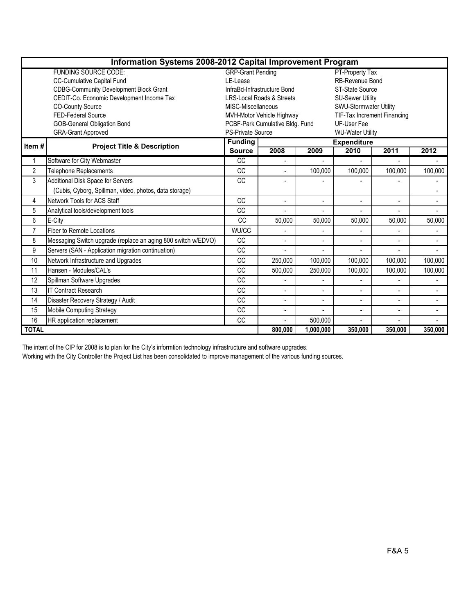|                | Information Systems 2008-2012 Capital Improvement Program     |                                                          |                             |                    |                          |                |                |  |  |  |  |  |
|----------------|---------------------------------------------------------------|----------------------------------------------------------|-----------------------------|--------------------|--------------------------|----------------|----------------|--|--|--|--|--|
|                | <b>FUNDING SOURCE CODE:</b>                                   | <b>GRP-Grant Pending</b>                                 |                             |                    | PT-Property Tax          |                |                |  |  |  |  |  |
|                | <b>CC-Cumulative Capital Fund</b>                             | LE-Lease                                                 |                             |                    | <b>RB-Revenue Bond</b>   |                |                |  |  |  |  |  |
|                | <b>CDBG-Community Development Block Grant</b>                 |                                                          | InfraBd-Infrastructure Bond |                    | ST-State Source          |                |                |  |  |  |  |  |
|                | CEDIT-Co. Economic Development Income Tax                     |                                                          | LRS-Local Roads & Streets   |                    | <b>SU-Sewer Utility</b>  |                |                |  |  |  |  |  |
|                | <b>CO-County Source</b>                                       | MISC-Miscellaneous                                       |                             |                    | SWU-Stormwater Utility   |                |                |  |  |  |  |  |
|                | <b>FED-Federal Source</b>                                     | TIF-Tax Increment Financing<br>MVH-Motor Vehicle Highway |                             |                    |                          |                |                |  |  |  |  |  |
|                | <b>GOB-General Obligation Bond</b>                            | PCBF-Park Cumulative Bldg. Fund<br><b>UF-User Fee</b>    |                             |                    |                          |                |                |  |  |  |  |  |
|                | <b>GRA-Grant Approved</b>                                     | <b>PS-Private Source</b><br><b>WU-Water Utility</b>      |                             |                    |                          |                |                |  |  |  |  |  |
| Item#          | <b>Project Title &amp; Description</b>                        | <b>Funding</b>                                           |                             | <b>Expenditure</b> |                          |                |                |  |  |  |  |  |
|                |                                                               | <b>Source</b>                                            | 2008                        | 2009               | 2010                     | 2011           | 2012           |  |  |  |  |  |
| 1              | Software for City Webmaster                                   | CC                                                       |                             |                    |                          |                |                |  |  |  |  |  |
| $\overline{2}$ | <b>Telephone Replacements</b>                                 | <b>CC</b>                                                | $\overline{a}$              | 100,000            | 100,000                  | 100,000        | 100,000        |  |  |  |  |  |
| 3              | Additional Disk Space for Servers                             | <b>CC</b>                                                | L,                          |                    |                          |                |                |  |  |  |  |  |
|                | (Cubis, Cyborg, Spillman, video, photos, data storage)        |                                                          |                             |                    |                          |                |                |  |  |  |  |  |
| 4              | Network Tools for ACS Staff                                   | <b>CC</b>                                                | $\overline{a}$              | $\overline{a}$     | $\blacksquare$           | $\overline{a}$ |                |  |  |  |  |  |
| 5              | Analytical tools/development tools                            | <b>CC</b>                                                |                             |                    |                          |                |                |  |  |  |  |  |
| 6              | E-City                                                        | CC                                                       | 50,000                      | 50,000             | 50,000                   | 50,000         | 50,000         |  |  |  |  |  |
| $\overline{7}$ | <b>Fiber to Remote Locations</b>                              | WU/CC                                                    |                             |                    |                          |                |                |  |  |  |  |  |
| 8              | Messaging Switch upgrade (replace an aging 800 switch w/EDVO) | <b>CC</b>                                                | $\blacksquare$              | $\overline{a}$     | $\blacksquare$           | ÷,             | $\blacksquare$ |  |  |  |  |  |
| 9              | Servers (SAN - Application migration continuation)            | CC                                                       |                             |                    |                          |                |                |  |  |  |  |  |
| 10             | Network Infrastructure and Upgrades                           | CC                                                       | 250,000                     | 100,000            | 100,000                  | 100,000        | 100,000        |  |  |  |  |  |
| 11             | Hansen - Modules/CAL's                                        | <b>CC</b>                                                | 500,000                     | 250,000            | 100,000                  | 100,000        | 100,000        |  |  |  |  |  |
| 12             | Spillman Software Upgrades                                    | CC                                                       | $\overline{\phantom{a}}$    |                    |                          | $\blacksquare$ | $\blacksquare$ |  |  |  |  |  |
| 13             | <b>IT Contract Research</b>                                   | CC                                                       | $\overline{a}$              | $\overline{a}$     |                          | $\overline{a}$ |                |  |  |  |  |  |
| 14             | Disaster Recovery Strategy / Audit                            | CC                                                       | $\overline{\phantom{a}}$    | $\blacksquare$     |                          | ÷,             |                |  |  |  |  |  |
| 15             | Mobile Computing Strategy                                     | CC                                                       | ٠                           | $\overline{a}$     | $\overline{\phantom{a}}$ | $\blacksquare$ | $\blacksquare$ |  |  |  |  |  |
| 16             | HR application replacement                                    | CC                                                       |                             | 500,000            |                          |                |                |  |  |  |  |  |
| <b>TOTAL</b>   |                                                               |                                                          | 800,000                     | 1,000,000          | 350,000                  | 350,000        | 350,000        |  |  |  |  |  |

The intent of the CIP for 2008 is to plan for the City's informtion technology infrastructure and software upgrades.

Working with the City Controller the Project List has been consolidated to improve management of the various funding sources.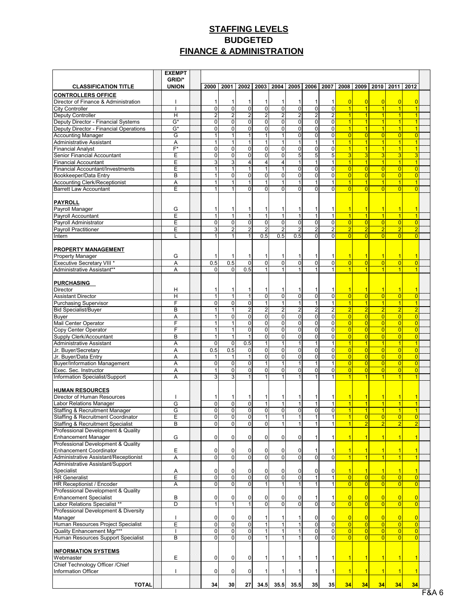## **STAFFING LEVELS BUDGETED FINANCE & ADMINISTRATION**

|                                                                                    | <b>EXEMPT</b>            |                                  |                                  |                                  |                                  |                                  |                                  |                                  |                                  |                                  |                                  |                                  |                                  |                                  |  |
|------------------------------------------------------------------------------------|--------------------------|----------------------------------|----------------------------------|----------------------------------|----------------------------------|----------------------------------|----------------------------------|----------------------------------|----------------------------------|----------------------------------|----------------------------------|----------------------------------|----------------------------------|----------------------------------|--|
| <b>CLASSIFICATION TITLE</b>                                                        | GRID/*<br><b>UNION</b>   | 2000                             | 2001                             | 2002                             |                                  | 2003   2004                      |                                  | 2005   2006   2007   2008   2009 |                                  |                                  |                                  |                                  | 2010 2011                        | 2012                             |  |
| <b>CONTROLLERS OFFICE</b>                                                          |                          |                                  |                                  |                                  |                                  |                                  |                                  |                                  |                                  |                                  |                                  |                                  |                                  |                                  |  |
| Director of Finance & Administration                                               |                          | 1                                | $\mathbf{1}$                     | 1                                | 1                                | 1                                |                                  | 1                                | 1                                | $\overline{0}$                   | $\overline{0}$                   | $\overline{0}$                   | $\overline{0}$                   | $\overline{0}$                   |  |
| <b>City Controller</b>                                                             | $\mathbf{I}$             | $\overline{0}$                   | $\overline{\mathbf{0}}$          | $\overline{0}$                   | $\overline{0}$                   | $\overline{\mathbf{0}}$          | $\overline{\mathbf{0}}$          | $\overline{0}$                   | $\overline{0}$                   | $\overline{\mathbf{1}}$          | $\overline{1}$                   | $\mathbf{1}$                     | $\overline{1}$                   | 1                                |  |
| <b>Deputy Controller</b>                                                           | H                        | $\overline{2}$                   | $\overline{2}$                   | $\overline{2}$                   | $\overline{2}$                   | $\overline{c}$                   | $\overline{2}$                   | $\boldsymbol{2}$                 | $\overline{2}$                   | 1                                | $\overline{1}$                   | $\vert$                          | $\overline{1}$                   | 1                                |  |
| Deputy Director - Financial Systems                                                | G*                       | $\overline{0}$                   | $\overline{0}$                   | $\mathbf 0$                      | $\Omega$                         | $\overline{0}$                   | $\mathbf 0$                      | $\overline{0}$                   | $\overline{0}$                   | $\overline{1}$<br>1              | $\vert$                          | $\vert$                          | $\overline{1}$                   | 1                                |  |
| Deputy Director - Financial Operations<br><b>Accounting Manager</b>                | G*<br>G                  | $\overline{0}$<br>1              | $\overline{0}$<br>$\mathbf{1}$   | 0<br>$\mathbf{1}$                | $\overline{0}$<br>$\mathbf{1}$   | $\overline{0}$<br>1              | $\overline{0}$<br>$\overline{0}$ | $\overline{0}$<br>$\overline{0}$ | $\overline{0}$<br>$\overline{0}$ | $\overline{0}$                   | $\mathbf{1}$<br>$\overline{0}$   | $\mathbf{1}$<br> 0               | $\overline{1}$<br>$\overline{0}$ | $\overline{0}$                   |  |
| Administrative Assistant                                                           | A                        | 1                                | $\mathbf{1}$                     | $\mathbf{1}$                     | $\mathbf{1}$                     | $\mathbf{1}$                     | $\mathbf{1}$                     | $\mathbf{1}$                     | 1                                | $\overline{1}$                   | $\vert$                          | $\vert$                          | $\overline{1}$                   | 1                                |  |
| <b>Financial Analyst</b>                                                           | $\overline{F^*}$         | $\overline{0}$                   | $\overline{0}$                   | $\overline{0}$                   | $\overline{0}$                   | $\overline{0}$                   | $\mathbf 0$                      | $\overline{0}$                   | $\overline{0}$                   | $\overline{1}$                   | $\vert$                          | 1                                | $\overline{1}$                   | $\overline{1}$                   |  |
| Senior Financial Accountant                                                        | E                        | $\overline{0}$                   | $\overline{0}$                   | $\overline{0}$                   | $\overline{0}$                   | $\overline{0}$                   | 5                                | $\overline{5}$                   | $\overline{5}$                   | 3                                | 3                                | $\overline{3}$                   | 3                                | 3                                |  |
| <b>Financial Accountant</b>                                                        | E                        | $\mathbf{3}$                     | $\overline{3}$                   | 4                                | $\vert 4 \vert$                  | 4                                | $\mathbf{1}$                     | $\mathbf{1}$                     | 1                                | $\overline{\mathbf{1}}$          | $\vert$                          | $\vert$                          | $\overline{1}$                   | $\overline{1}$                   |  |
| Financial Accountant/Investments                                                   | E                        | $\mathbf{1}$                     | $\mathbf{1}$                     | 1                                | $\mathbf{1}$                     | 1                                | $\mathbf 0$                      | $\overline{0}$                   | $\overline{0}$                   | $\overline{0}$                   | $\overline{0}$                   | $\overline{0}$                   | $\overline{0}$                   | $\overline{0}$                   |  |
| Bookkeeper/Data Entry<br><b>Accounting Clerk/Receptionist</b>                      | B<br>Α                   | $\mathbf{1}$<br>$\mathbf{1}$     | $\overline{0}$<br>$\mathbf{1}$   | 0<br>$\mathbf{1}$                | $\overline{0}$<br>$\mathbf{1}$   | $\overline{0}$<br>1              | $\mathbf 0$                      | $\overline{0}$<br>$\mathbf{1}$   | $\overline{0}$<br>$\mathbf{1}$   | $\overline{0}$<br>1              | $\overline{0}$<br>$\overline{1}$ | $\overline{0}$<br>$\overline{1}$ | $\overline{0}$<br>$\overline{1}$ | $\overline{0}$<br>$\overline{1}$ |  |
| <b>Barrett Law Accountant</b>                                                      | E                        | $\mathbf{1}$                     | 1                                | 0                                | $\Omega$                         | $\overline{0}$                   | $\Omega$                         | 0                                | $\Omega$                         | $\overline{0}$                   | $\overline{0}$                   | $\Omega$                         | $\overline{0}$                   | $\overline{0}$                   |  |
|                                                                                    |                          |                                  |                                  |                                  |                                  |                                  |                                  |                                  |                                  |                                  |                                  |                                  |                                  |                                  |  |
| <b>PAYROLL</b>                                                                     |                          |                                  |                                  |                                  |                                  |                                  |                                  |                                  |                                  |                                  |                                  |                                  |                                  |                                  |  |
| Payroll Manager                                                                    | G                        | 1                                | 1                                | 1                                | 1                                | 1                                | 1                                | 1                                | 1                                | 1                                | $\mathbf 1$                      | $\mathbf{1}$                     | $\overline{1}$                   | 1                                |  |
| Payroll Accountant                                                                 | E                        | $\overline{1}$                   | $\mathbf{1}$                     | $\mathbf{1}$                     | 1                                | $\overline{1}$                   | $\mathbf{1}$                     | $\overline{1}$                   | $\mathbf{1}$                     | $\overline{1}$                   | $\overline{1}$                   | $\vert$ 1                        | $\overline{1}$                   | $\overline{1}$                   |  |
| Payroll Administrator<br><b>Payroll Practitioner</b>                               | E<br>E                   | $\overline{0}$<br>$\overline{3}$ | $\overline{0}$<br>$\overline{2}$ | $\overline{0}$<br>$\overline{c}$ | $\overline{0}$<br>$\overline{2}$ | $\overline{0}$<br>$\overline{2}$ | $\mathbf 0$<br>$\overline{2}$    | $\overline{0}$<br>$\mathbf 2$    | $\overline{0}$<br>$\overline{2}$ | $\overline{0}$<br>$\overline{2}$ | $\overline{0}$<br>$\overline{2}$ | 0 <br>$\overline{2}$             | $\overline{0}$<br>$\overline{2}$ | $\overline{0}$<br>$\overline{2}$ |  |
| Intern                                                                             | L                        | 1                                | $\mathbf{1}$                     | 1                                | 0.5                              | 0.5                              | 0.5                              | $\overline{0}$                   | $\overline{0}$                   | $\overline{0}$                   | $\overline{0}$                   | $\overline{0}$                   | $\overline{0}$                   | $\overline{0}$                   |  |
|                                                                                    |                          |                                  |                                  |                                  |                                  |                                  |                                  |                                  |                                  |                                  |                                  |                                  |                                  |                                  |  |
| PROPERTY MANAGEMENT                                                                |                          |                                  |                                  |                                  |                                  |                                  |                                  |                                  |                                  |                                  |                                  |                                  |                                  |                                  |  |
| <b>Property Manager</b>                                                            | G                        |                                  | 1                                | 1                                | 1                                | 1                                |                                  | 1                                | 1                                | 1                                | $\overline{1}$                   |                                  | $\overline{1}$                   |                                  |  |
| <b>Executive Secretary VIII *</b>                                                  | A                        | 0.5                              | 0.5                              | $\mathbf{0}$                     | $\overline{0}$                   | $\overline{0}$                   | $\overline{0}$                   | $\overline{0}$                   | $\overline{0}$                   | $\overline{0}$                   | $\overline{0}$                   | $\vert 0 \vert$                  | $\overline{0}$                   | $\overline{0}$                   |  |
| Administrative Assistant**                                                         | A                        | $\Omega$                         | $\overline{0}$                   | 0.5                              | $\mathbf{1}$                     | 1                                | $\mathbf{1}$                     | $\mathbf{1}$                     | 1                                | 1                                | $\overline{1}$                   |                                  | $\overline{1}$                   | 1                                |  |
| <b>PURCHASING</b>                                                                  |                          |                                  |                                  |                                  |                                  |                                  |                                  |                                  |                                  |                                  |                                  |                                  |                                  |                                  |  |
| Director                                                                           | Н                        | 1                                | 1                                | 1                                | 1                                | 1                                | 1                                | 1                                | 1                                | 1                                | $\vert$ 1                        | $\vert$ 1                        | $\overline{1}$                   |                                  |  |
| <b>Assistant Director</b>                                                          | Η                        | $\overline{1}$                   | $\overline{1}$                   | 1                                | $\overline{0}$                   | 0                                | $\overline{\mathbf{0}}$          | 0                                | $\overline{0}$                   | $\overline{0}$                   | $\overline{0}$                   | $\overline{0}$                   | $\overline{0}$                   | $\overline{0}$                   |  |
| <b>Purchasing Supervisor</b>                                                       | F                        | 0                                | $\overline{0}$                   | O                                | $\overline{1}$                   | 1                                | $\overline{1}$                   | $\overline{1}$                   | $\overline{1}$                   | ٦                                | $\overline{1}$                   | $\mathbf{1}$                     | $\overline{1}$                   | $\overline{1}$                   |  |
| <b>Bid Specialist/Buyer</b>                                                        | B                        | 1                                | 1                                | $\overline{2}$                   | $\overline{2}$                   | $\overline{2}$                   | $\overline{2}$                   | $\overline{2}$                   | $\overline{2}$                   | $\overline{2}$                   | $\overline{2}$                   | $\overline{2}$                   | $\overline{2}$                   | $\overline{2}$                   |  |
| <b>Buyer</b>                                                                       | A<br>F                   | 1<br>1                           | $\overline{0}$                   | 0<br>$\overline{0}$              | $\overline{0}$<br>$\Omega$       | $\overline{0}$<br>$\overline{0}$ | $\mathbf 0$<br>$\mathbf 0$       | $\overline{0}$<br>$\overline{0}$ | $\overline{0}$<br>$\overline{0}$ | $\overline{0}$<br>$\overline{0}$ | 0 <br> 0                         | $\overline{0}$                   | $\overline{0}$<br>$\overline{0}$ | $\overline{0}$                   |  |
| Mail Center Operator<br>Copy Center Operator                                       | F                        | 1                                | 1<br>$\mathbf{1}$                | 0                                | $\overline{0}$                   | $\overline{\mathbf{0}}$          | $\mathbf 0$                      | $\overline{0}$                   | $\overline{0}$                   | $\overline{0}$                   | $\overline{0}$                   | $\overline{0}$<br>$\overline{0}$ | $\overline{0}$                   | $\overline{0}$<br>$\overline{0}$ |  |
| Supply Clerk/Accountant                                                            | B                        | 1                                | $\mathbf{1}$                     | 1                                | $\Omega$                         | $\overline{0}$                   | $\pmb{0}$                        | $\overline{0}$                   | $\overline{0}$                   | $\overline{0}$                   | $\overline{0}$                   | 0                                | $\overline{0}$                   | $\overline{0}$                   |  |
| Administrative Assistant                                                           | A                        | $\overline{0}$                   | $\overline{0}$                   | 0.5                              | $\mathbf{1}$                     | 1                                | 1                                | $\mathbf{1}$                     | $\mathbf{1}$                     | $\overline{1}$                   | $\vert$                          | $\overline{1}$                   | $\overline{1}$                   | $\overline{1}$                   |  |
| Jr. Buyer/Secretary                                                                | A                        | 0.5                              | 0.5                              | 0                                | $\overline{0}$                   | $\overline{0}$                   | $\pmb{0}$                        | $\overline{0}$                   | $\overline{0}$                   | $\overline{0}$                   | 0                                | 0                                | $\overline{0}$                   | $\overline{0}$                   |  |
| Jr. Buyer/Data Entry                                                               | A                        | 1                                | $\mathbf{1}$                     | 1                                | $\overline{0}$                   | $\overline{0}$                   | $\overline{0}$                   | $\overline{0}$                   | $\overline{0}$                   | $\overline{0}$                   | $\overline{0}$                   | $\overline{0}$                   | $\overline{0}$                   | $\overline{0}$                   |  |
| <b>Buyer/Information Management</b>                                                | A                        | $\overline{0}$                   | $\overline{0}$                   | 0                                | $\mathbf{1}$                     | 1                                |                                  | $\mathbf{1}$                     | $\mathbf{1}$                     | $\overline{0}$                   | $\overline{0}$                   | $\overline{0}$                   | $\overline{0}$                   | $\overline{0}$                   |  |
| Exec. Sec. Instructor<br>Information Specialist/Support                            | A<br>A                   | $\mathbf{1}$<br>$\overline{3}$   | $\overline{0}$<br>3              | 0<br>1                           | $\overline{0}$<br>1              | $\overline{0}$<br>$\mathbf{1}$   | 0<br>$\mathbf{1}$                | 0<br>$\mathbf{1}$                | $\overline{0}$<br>$\mathbf{1}$   | $\overline{0}$<br>$\overline{1}$ | $\overline{0}$<br>$\overline{1}$ | $\vert 0 \vert$<br>$\mathbf{1}$  | $\overline{0}$<br>$\overline{1}$ | $\overline{0}$<br>$\overline{1}$ |  |
|                                                                                    |                          |                                  |                                  |                                  |                                  |                                  |                                  |                                  |                                  |                                  |                                  |                                  |                                  |                                  |  |
| <b>HUMAN RESOURCES</b>                                                             |                          |                                  |                                  |                                  |                                  |                                  |                                  |                                  |                                  |                                  |                                  |                                  |                                  |                                  |  |
| Director of Human Resources                                                        | -1                       | 1                                | 1                                | 1                                | 1                                | 1                                |                                  | 1                                | 1                                | $\overline{1}$                   | $\mathbf{1}$                     | $\mathbf{1}$                     | $\overline{1}$                   | 1                                |  |
| Labor Relations Manager                                                            | G                        | $\overline{0}$                   | $\overline{0}$                   | $\mathbf{0}$                     | $\mathbf{1}$                     | $\mathbf{1}$                     |                                  | $\mathbf{1}$                     | $\mathbf{1}$                     | $\overline{1}$                   | $\overline{1}$                   | $\overline{1}$                   | $\overline{1}$                   | 1                                |  |
| <b>Staffing &amp; Recruitment Manager</b>                                          | G                        | $\overline{0}$                   | $\Omega$                         | $\overline{0}$                   | $\overline{0}$                   | $\overline{0}$                   | $\mathbf 0$                      | $\overline{0}$                   | $\overline{0}$                   | $\overline{1}$                   | $\vert$                          | 1                                | $\overline{1}$                   | $\overline{1}$                   |  |
| Staffing & Recruitment Coordinator<br><b>Staffing &amp; Recruitment Specialist</b> | ᄇ<br>B                   | υ<br>$\overline{\mathbf{0}}$     | υ<br>$\overline{0}$              | 0<br>0                           | $\overline{0}$                   | 1                                |                                  |                                  | 1                                |                                  | $\overline{0}$<br>$\overline{2}$ |                                  | $\overline{2}$                   |                                  |  |
| Professional Development & Quality                                                 |                          |                                  |                                  |                                  |                                  |                                  |                                  |                                  |                                  |                                  |                                  |                                  |                                  |                                  |  |
| <b>Enhancement Manager</b>                                                         | G                        | $\overline{0}$                   | $\Omega$                         | 0                                | $\overline{0}$                   | $\overline{0}$                   | 0                                | 1                                | 1                                | 1                                | $\mathbf 1$                      | $\mathbf{1}$                     | $\overline{1}$                   | 1                                |  |
| Professional Development & Quality                                                 |                          |                                  |                                  |                                  |                                  |                                  |                                  |                                  |                                  |                                  |                                  |                                  |                                  |                                  |  |
| <b>Enhancement Coordinator</b>                                                     | Ε                        | $\overline{0}$                   | $\overline{0}$                   | 0                                | $\overline{0}$                   | 0                                | 0                                |                                  | 1                                |                                  |                                  |                                  | 1                                |                                  |  |
| Administrative Assistant/Receptionist                                              | Α                        | $\overline{0}$                   | $\overline{0}$                   | $\overline{0}$                   | $\overline{0}$                   | $\overline{0}$                   | $\overline{0}$                   | $\overline{0}$                   | $\overline{0}$                   | $\overline{1}$                   | $\overline{1}$                   | $\vert$ 1                        | $\overline{1}$                   | $\overline{1}$                   |  |
| Administrative Assistant/Support<br>Specialist                                     |                          | $\overline{0}$                   | $\overline{0}$                   | 0                                | $\overline{0}$                   | $\overline{0}$                   | 0                                | $\overline{0}$                   | $\overline{0}$                   |                                  |                                  | 1                                | 1                                |                                  |  |
| <b>HR Generalist</b>                                                               | Α<br>E                   | $\overline{\mathbf{0}}$          | $\overline{\mathbf{0}}$          | $\overline{0}$                   | $\overline{0}$                   | $\overline{\mathbf{0}}$          | $\overline{\mathbf{0}}$          | $\overline{1}$                   | $\overline{1}$                   | $\overline{0}$                   | $\overline{0}$                   | 0                                | $\overline{0}$                   | $\overline{0}$                   |  |
| HR Receptionist / Encoder                                                          | А                        | $\overline{0}$                   | $\overline{0}$                   | $\overline{0}$                   | 1                                | $\mathbf{1}$                     | 1                                | 1                                | 1                                | $\overline{0}$                   | $\overline{0}$                   | 0                                | $\overline{0}$                   | $\overline{0}$                   |  |
| Professional Development & Quality                                                 |                          |                                  |                                  |                                  |                                  |                                  |                                  |                                  |                                  |                                  |                                  |                                  |                                  |                                  |  |
| <b>Enhancement Specialist</b>                                                      | B                        | $\overline{0}$                   | $\overline{0}$                   | 0                                | $\Omega$                         | 0                                | 0                                | 1                                | 1                                | $\overline{0}$                   | $\overline{0}$                   | $\vert 0 \vert$                  | $\overline{0}$                   | $\overline{0}$                   |  |
| Labor Relations Specialist **                                                      | D                        | $\overline{1}$                   | $\mathbf{1}$                     | $\mathbf{1}$                     | $\overline{0}$                   | $\overline{0}$                   | $\overline{0}$                   | $\overline{0}$                   | $\overline{0}$                   | $\overline{0}$                   | $\overline{0}$                   | $\vert 0 \vert$                  | $\overline{0}$                   | $\overline{0}$                   |  |
| Professional Development & Diversity                                               |                          |                                  |                                  |                                  |                                  |                                  |                                  |                                  |                                  |                                  |                                  |                                  |                                  |                                  |  |
| Manager<br>Human Resources Project Specialist                                      | $\mathbf{I}$<br>Ε        | $\overline{0}$<br>$\overline{0}$ | $\overline{0}$<br>$\overline{0}$ | 0<br>$\overline{0}$              | 1<br>1                           | 1<br>1                           |                                  | $\overline{0}$<br>$\overline{0}$ | $\overline{0}$<br>$\overline{0}$ | $\overline{0}$<br>$\overline{0}$ | $\overline{0}$<br> 0             | 0 <br> 0                         | $\overline{0}$<br>$\overline{0}$ | $\overline{0}$<br>$\overline{0}$ |  |
| Quality Enhancement Mgr***                                                         |                          | $\overline{0}$                   | $\overline{0}$                   | $\mathbf 0$                      | $\mathbf{1}$                     | 1                                |                                  | $\overline{0}$                   | $\overline{0}$                   | $\overline{0}$                   | 0                                | $\overline{0}$                   | $\overline{0}$                   | $\overline{0}$                   |  |
| Human Resources Support Specialist                                                 | B                        | $\overline{0}$                   | $\overline{0}$                   | $\mathbf 0$                      |                                  | 1                                |                                  | $\overline{0}$                   | $\overline{0}$                   | $\overline{0}$                   | $\overline{0}$                   | $\overline{0}$                   | $\overline{0}$                   | $\overline{0}$                   |  |
|                                                                                    |                          |                                  |                                  |                                  |                                  |                                  |                                  |                                  |                                  |                                  |                                  |                                  |                                  |                                  |  |
| <b>INFORMATION SYSTEMS</b>                                                         |                          |                                  |                                  |                                  |                                  |                                  |                                  |                                  |                                  |                                  |                                  |                                  |                                  |                                  |  |
| Webmaster                                                                          | E                        | $\overline{0}$                   | $\overline{0}$                   | 0                                | 1                                | 1                                | 1                                | 1                                | 1                                | 1                                | $\mathbf{1}$                     |                                  | 1                                | 1                                |  |
| Chief Technology Officer / Chief<br>Information Officer                            | $\overline{\phantom{a}}$ | $\overline{0}$                   | $\overline{0}$                   | 0                                | 1                                | 1                                |                                  | 1                                | 1                                | -1                               | $\mathbf{1}$                     |                                  | 1                                | $\overline{1}$                   |  |
|                                                                                    |                          |                                  |                                  |                                  |                                  |                                  |                                  |                                  |                                  |                                  |                                  |                                  |                                  |                                  |  |
| <b>TOTAL</b>                                                                       |                          | 34                               | 30                               | 27                               | 34.5                             | 35.5                             | 35.5                             | 35                               | 35                               | 34                               | 34                               | 34                               | 34                               | 34                               |  |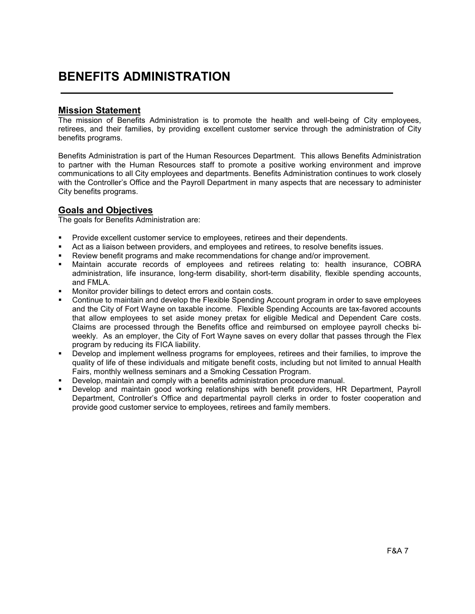# BENEFITS ADMINISTRATION

#### Mission Statement

The mission of Benefits Administration is to promote the health and well-being of City employees, retirees, and their families, by providing excellent customer service through the administration of City benefits programs.

Benefits Administration is part of the Human Resources Department. This allows Benefits Administration to partner with the Human Resources staff to promote a positive working environment and improve communications to all City employees and departments. Benefits Administration continues to work closely with the Controller's Office and the Payroll Department in many aspects that are necessary to administer City benefits programs.

## Goals and Objectives

The goals for Benefits Administration are:

- Provide excellent customer service to employees, retirees and their dependents.
- Act as a liaison between providers, and employees and retirees, to resolve benefits issues.
- Review benefit programs and make recommendations for change and/or improvement.
- Maintain accurate records of employees and retirees relating to: health insurance, COBRA administration, life insurance, long-term disability, short-term disability, flexible spending accounts, and FMLA.
- Monitor provider billings to detect errors and contain costs.
- Continue to maintain and develop the Flexible Spending Account program in order to save employees and the City of Fort Wayne on taxable income. Flexible Spending Accounts are tax-favored accounts that allow employees to set aside money pretax for eligible Medical and Dependent Care costs. Claims are processed through the Benefits office and reimbursed on employee payroll checks biweekly. As an employer, the City of Fort Wayne saves on every dollar that passes through the Flex program by reducing its FICA liability.
- Develop and implement wellness programs for employees, retirees and their families, to improve the quality of life of these individuals and mitigate benefit costs, including but not limited to annual Health Fairs, monthly wellness seminars and a Smoking Cessation Program.
- Develop, maintain and comply with a benefits administration procedure manual.
- Develop and maintain good working relationships with benefit providers, HR Department, Payroll Department, Controller's Office and departmental payroll clerks in order to foster cooperation and provide good customer service to employees, retirees and family members.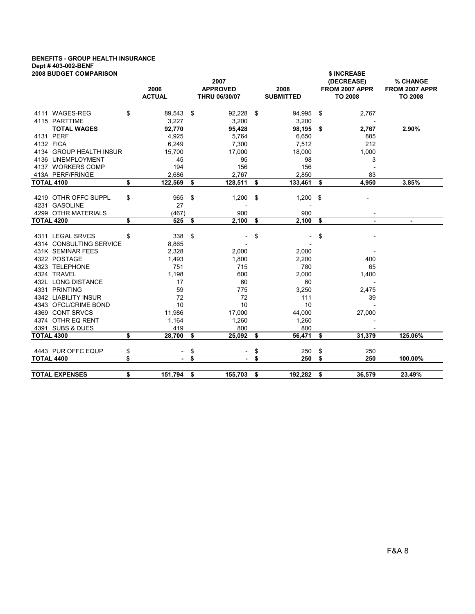## BENEFITS - GROUP HEALTH INSURANCE Dept # 403-002-BENF

| <b>2008 BUDGET COMPARISON</b> | 2006<br><b>ACTUAL</b> |                         | 2007<br><b>APPROVED</b><br>THRU 06/30/07 |      | 2008<br><b>SUBMITTED</b> |     | \$ INCREASE<br>(DECREASE)<br>FROM 2007 APPR<br><b>TO 2008</b> | % CHANGE<br>FROM 2007 APPR<br>TO 2008 |
|-------------------------------|-----------------------|-------------------------|------------------------------------------|------|--------------------------|-----|---------------------------------------------------------------|---------------------------------------|
| 4111 WAGES-REG                | \$<br>89,543          | \$                      | 92,228                                   | \$   | 94,995                   | -\$ | 2,767                                                         |                                       |
| 4115 PARTTIME                 | 3,227                 |                         | 3,200                                    |      | 3,200                    |     |                                                               |                                       |
| <b>TOTAL WAGES</b>            | 92,770                |                         | 95,428                                   |      | 98,195                   | -\$ | 2,767                                                         | 2.90%                                 |
| 4131 PERF<br>4132 FICA        | 4,925                 |                         | 5,764                                    |      | 6,650                    |     | 885                                                           |                                       |
| 4134 GROUP HEALTH INSUR       | 6,249<br>15,700       |                         | 7,300<br>17,000                          |      | 7,512<br>18,000          |     | 212<br>1,000                                                  |                                       |
| 4136 UNEMPLOYMENT             | 45                    |                         | 95                                       |      | 98                       |     | 3                                                             |                                       |
| 4137 WORKERS COMP             | 194                   |                         | 156                                      |      | 156                      |     |                                                               |                                       |
| 413A PERF/FRINGE              | 2,686                 |                         | 2,767                                    |      | 2,850                    |     | 83                                                            |                                       |
| <b>TOTAL 4100</b>             | \$<br>122,569         | \$                      | 128,511                                  | \$   | 133,461                  | \$  | 4,950                                                         | 3.85%                                 |
|                               |                       |                         |                                          |      |                          |     |                                                               |                                       |
| 4219 OTHR OFFC SUPPL          | \$<br>965             | \$                      | 1,200                                    | \$   | 1,200                    | \$  |                                                               |                                       |
| 4231 GASOLINE                 | 27                    |                         |                                          |      | $\overline{\phantom{a}}$ |     |                                                               |                                       |
| 4299 OTHR MATERIALS           | (467)                 |                         | 900                                      |      | 900                      |     |                                                               |                                       |
| <b>TOTAL 4200</b>             | \$<br>525             | \$                      | 2,100                                    | \$   | 2,100                    | \$  | $\blacksquare$                                                | ٠                                     |
| 4311 LEGAL SRVCS              | \$<br>338             | \$                      |                                          | \$   | $\overline{\phantom{a}}$ | \$  |                                                               |                                       |
| 4314 CONSULTING SERVICE       | 8,865                 |                         |                                          |      |                          |     |                                                               |                                       |
| 431K SEMINAR FEES             | 2,328                 |                         | 2,000                                    |      | 2,000                    |     |                                                               |                                       |
| 4322 POSTAGE                  | 1,493                 |                         | 1,800                                    |      | 2,200                    |     | 400                                                           |                                       |
| 4323 TELEPHONE                | 751                   |                         | 715                                      |      | 780                      |     | 65                                                            |                                       |
| 4324 TRAVEL                   | 1,198                 |                         | 600                                      |      | 2,000                    |     | 1,400                                                         |                                       |
| 432L LONG DISTANCE            | 17                    |                         | 60                                       |      | 60                       |     |                                                               |                                       |
| 4331 PRINTING                 | 59                    |                         | 775                                      |      | 3,250                    |     | 2,475                                                         |                                       |
| 4342 LIABILITY INSUR          | 72                    |                         | 72                                       |      | 111                      |     | 39                                                            |                                       |
| 4343 OFCL/CRIME BOND          | 10                    |                         | 10                                       |      | 10                       |     |                                                               |                                       |
| 4369 CONT SRVCS               | 11,986                |                         | 17,000                                   |      | 44,000                   |     | 27,000                                                        |                                       |
| 4374 OTHR EQ RENT             | 1,164                 |                         | 1,260                                    |      | 1,260                    |     |                                                               |                                       |
| 4391 SUBS & DUES              | 419                   |                         | 800                                      |      | 800                      |     |                                                               |                                       |
| <b>TOTAL 4300</b>             | \$<br>28,700          | \$                      | 25,092                                   | - \$ | 56,471                   | \$  | 31,379                                                        | 125.06%                               |
| 4443 PUR OFFC EQUP            | \$                    | \$                      |                                          | \$   | 250                      | \$  | 250                                                           |                                       |
| <b>TOTAL 4400</b>             | \$<br>$\blacksquare$  | $\overline{\mathbf{s}}$ | $\mathbf{r}$                             | \$   | 250                      | \$  | 250                                                           | 100.00%                               |
| <b>TOTAL EXPENSES</b>         | \$<br>151,794         | \$                      | 155,703                                  | \$   | 192,282                  | \$  | 36,579                                                        | 23.49%                                |
|                               |                       |                         |                                          |      |                          |     |                                                               |                                       |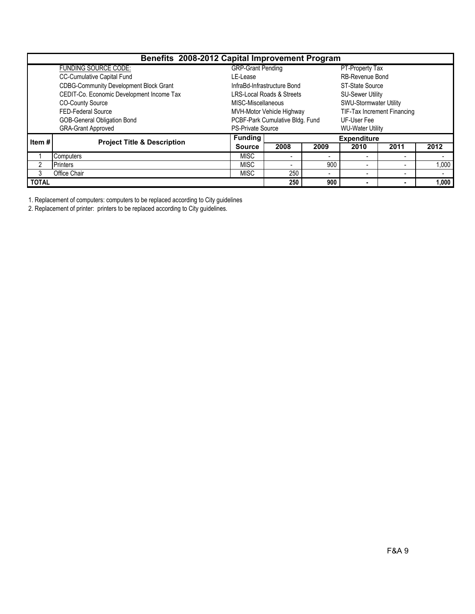| Benefits 2008-2012 Capital Improvement Program |                                               |                                                     |                                      |                        |                         |                                    |       |  |  |  |  |
|------------------------------------------------|-----------------------------------------------|-----------------------------------------------------|--------------------------------------|------------------------|-------------------------|------------------------------------|-------|--|--|--|--|
|                                                | <b>FUNDING SOURCE CODE:</b>                   | <b>GRP-Grant Pending</b>                            |                                      |                        | PT-Property Tax         |                                    |       |  |  |  |  |
|                                                | <b>CC-Cumulative Capital Fund</b>             | LE-Lease                                            |                                      |                        | <b>RB-Revenue Bond</b>  |                                    |       |  |  |  |  |
|                                                | <b>CDBG-Community Development Block Grant</b> |                                                     | InfraBd-Infrastructure Bond          | <b>ST-State Source</b> |                         |                                    |       |  |  |  |  |
|                                                | CEDIT-Co. Economic Development Income Tax     |                                                     | <b>LRS-Local Roads &amp; Streets</b> |                        | <b>SU-Sewer Utility</b> |                                    |       |  |  |  |  |
|                                                | <b>CO-County Source</b>                       | MISC-Miscellaneous                                  |                                      |                        | SWU-Stormwater Utility  |                                    |       |  |  |  |  |
|                                                | FED-Federal Source                            |                                                     | MVH-Motor Vehicle Highway            |                        |                         | <b>TIF-Tax Increment Financing</b> |       |  |  |  |  |
|                                                | <b>GOB-General Obligation Bond</b>            | PCBF-Park Cumulative Bldg. Fund<br>UF-User Fee      |                                      |                        |                         |                                    |       |  |  |  |  |
|                                                | <b>GRA-Grant Approved</b>                     | <b>PS-Private Source</b><br><b>WU-Water Utility</b> |                                      |                        |                         |                                    |       |  |  |  |  |
| Item#                                          | <b>Project Title &amp; Description</b>        | <b>Funding</b>                                      |                                      |                        | <b>Expenditure</b>      |                                    |       |  |  |  |  |
|                                                |                                               | <b>Source</b>                                       | 2008                                 | 2009                   | 2010                    | 2011                               | 2012  |  |  |  |  |
|                                                | <b>Computers</b>                              | <b>MISC</b>                                         | $\overline{\phantom{a}}$             | -                      |                         | $\overline{\phantom{0}}$           |       |  |  |  |  |
|                                                | <b>Printers</b>                               | <b>MISC</b>                                         | $\overline{\phantom{0}}$             | 900                    |                         |                                    | 1,000 |  |  |  |  |
|                                                | Office Chair                                  | <b>MISC</b>                                         | 250                                  | -                      |                         | $\overline{\phantom{a}}$           |       |  |  |  |  |
| <b>TOTAL</b>                                   |                                               |                                                     | 250                                  | 900                    | $\blacksquare$          | $\blacksquare$                     | 1,000 |  |  |  |  |

1. Replacement of computers: computers to be replaced according to City guidelines

2. Replacement of printer: printers to be replaced according to City guidelines.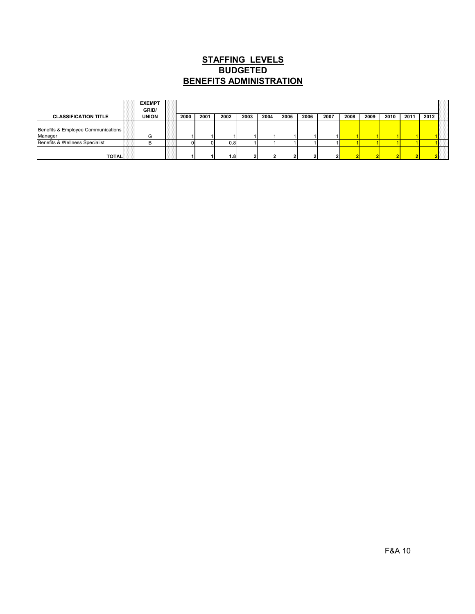## **STAFFING LEVELS** BENEFITS ADMINISTRATION **BUDGETED**

|                                               | <b>EXEMPT</b><br>GRID/ |      |      |      |      |      |      |      |      |      |      |      |      |      |  |
|-----------------------------------------------|------------------------|------|------|------|------|------|------|------|------|------|------|------|------|------|--|
| <b>CLASSIFICATION TITLE</b>                   | <b>UNION</b>           | 2000 | 2001 | 2002 | 2003 | 2004 | 2005 | 2006 | 2007 | 2008 | 2009 | 2010 | 2011 | 2012 |  |
| Benefits & Employee Communications<br>Manager | G                      |      |      |      |      |      |      |      |      |      |      |      |      |      |  |
| Benefits & Wellness Specialist                | B                      |      |      | 0.81 |      |      |      |      |      |      |      |      |      |      |  |
| <b>TOTALI</b>                                 |                        |      |      | 1.8  |      |      |      |      |      |      |      |      |      |      |  |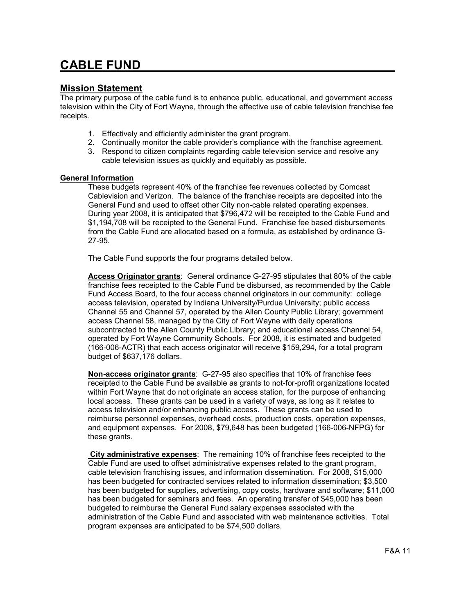# CABLE FUND

#### Mission Statement

The primary purpose of the cable fund is to enhance public, educational, and government access television within the City of Fort Wayne, through the effective use of cable television franchise fee receipts.

- 1. Effectively and efficiently administer the grant program.
- 2. Continually monitor the cable provider's compliance with the franchise agreement.
- 3. Respond to citizen complaints regarding cable television service and resolve any cable television issues as quickly and equitably as possible.

#### General Information

These budgets represent 40% of the franchise fee revenues collected by Comcast Cablevision and Verizon. The balance of the franchise receipts are deposited into the General Fund and used to offset other City non-cable related operating expenses. During year 2008, it is anticipated that \$796,472 will be receipted to the Cable Fund and \$1,194,708 will be receipted to the General Fund. Franchise fee based disbursements from the Cable Fund are allocated based on a formula, as established by ordinance G-27-95.

The Cable Fund supports the four programs detailed below.

Access Originator grants: General ordinance G-27-95 stipulates that 80% of the cable franchise fees receipted to the Cable Fund be disbursed, as recommended by the Cable Fund Access Board, to the four access channel originators in our community: college access television, operated by Indiana University/Purdue University; public access Channel 55 and Channel 57, operated by the Allen County Public Library; government access Channel 58, managed by the City of Fort Wayne with daily operations subcontracted to the Allen County Public Library; and educational access Channel 54, operated by Fort Wayne Community Schools. For 2008, it is estimated and budgeted (166-006-ACTR) that each access originator will receive \$159,294, for a total program budget of \$637,176 dollars.

Non-access originator grants: G-27-95 also specifies that 10% of franchise fees receipted to the Cable Fund be available as grants to not-for-profit organizations located within Fort Wayne that do not originate an access station, for the purpose of enhancing local access. These grants can be used in a variety of ways, as long as it relates to access television and/or enhancing public access. These grants can be used to reimburse personnel expenses, overhead costs, production costs, operation expenses, and equipment expenses. For 2008, \$79,648 has been budgeted (166-006-NFPG) for these grants.

City administrative expenses: The remaining 10% of franchise fees receipted to the Cable Fund are used to offset administrative expenses related to the grant program, cable television franchising issues, and information dissemination. For 2008, \$15,000 has been budgeted for contracted services related to information dissemination; \$3,500 has been budgeted for supplies, advertising, copy costs, hardware and software; \$11,000 has been budgeted for seminars and fees. An operating transfer of \$45,000 has been budgeted to reimburse the General Fund salary expenses associated with the administration of the Cable Fund and associated with web maintenance activities. Total program expenses are anticipated to be \$74,500 dollars.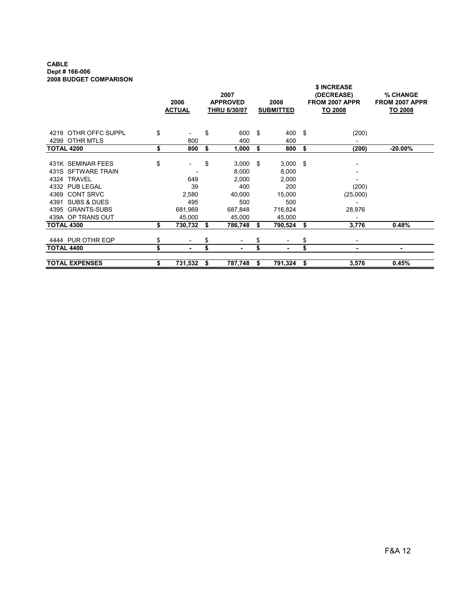#### CABLE Dept # 166-006 2008 BUDGET COMPARISON

|                                                                                                                                                                      |          | 2006<br><b>ACTUAL</b>                          |          | 2007<br><b>APPROVED</b><br><b>THRU 6/30/07</b>                       |               | 2008<br><b>SUBMITTED</b>                                                  |          | \$ INCREASE<br>(DECREASE)<br>FROM 2007 APPR<br>TO 2008 | % CHANGE<br>FROM 2007 APPR<br>TO 2008 |
|----------------------------------------------------------------------------------------------------------------------------------------------------------------------|----------|------------------------------------------------|----------|----------------------------------------------------------------------|---------------|---------------------------------------------------------------------------|----------|--------------------------------------------------------|---------------------------------------|
| OTHR OFFC SUPPL<br>4219<br>OTHR MTLS<br>4299                                                                                                                         | \$       | 800                                            | \$       | 600<br>400                                                           | $\mathfrak s$ | 400 \$<br>400                                                             |          | (200)                                                  |                                       |
| <b>TOTAL 4200</b>                                                                                                                                                    | \$       | 800                                            | \$       | 1,000                                                                | \$            | 800                                                                       | \$       | (200)                                                  | $-20.00\%$                            |
| 431K SEMINAR FEES<br>431S SFTWARE TRAIN<br>4324 TRAVEL<br>4332 PUB LEGAL<br><b>CONT SRVC</b><br>4369<br>4391<br>SUBS & DUES<br>4395 GRANTS-SUBS<br>439A OP TRANS OUT | \$       | 649<br>39<br>2,580<br>495<br>681,969<br>45.000 | \$       | 3,000<br>8,000<br>2,000<br>400<br>40,000<br>500<br>687,848<br>45,000 | \$            | $3,000$ \$<br>8,000<br>2,000<br>200<br>15,000<br>500<br>716,824<br>45,000 |          | (200)<br>(25,000)<br>28,976                            |                                       |
| <b>TOTAL 4300</b>                                                                                                                                                    | \$       | 730,732                                        | \$       | 786,748                                                              | S             | 790,524                                                                   | \$       | 3,776                                                  | 0.48%                                 |
| 4444 PUR OTHR EQP<br><b>TOTAL 4400</b>                                                                                                                               | \$<br>\$ |                                                | \$<br>\$ |                                                                      | \$<br>\$      | ٠                                                                         | \$<br>\$ | ٠                                                      | ٠                                     |
| <b>TOTAL EXPENSES</b>                                                                                                                                                | \$       | 731,532                                        | \$       | 787,748                                                              | \$            | 791,324                                                                   | \$       | 3,576                                                  | 0.45%                                 |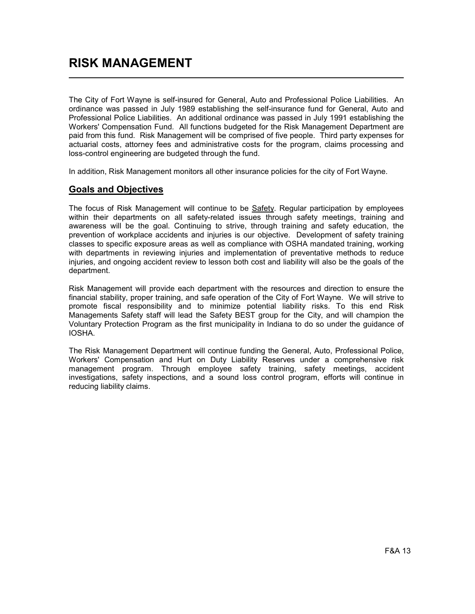The City of Fort Wayne is self-insured for General, Auto and Professional Police Liabilities. An ordinance was passed in July 1989 establishing the self-insurance fund for General, Auto and Professional Police Liabilities. An additional ordinance was passed in July 1991 establishing the Workers' Compensation Fund. All functions budgeted for the Risk Management Department are paid from this fund. Risk Management will be comprised of five people. Third party expenses for actuarial costs, attorney fees and administrative costs for the program, claims processing and loss-control engineering are budgeted through the fund.

In addition, Risk Management monitors all other insurance policies for the city of Fort Wayne.

## Goals and Objectives

The focus of Risk Management will continue to be Safety. Regular participation by employees within their departments on all safety-related issues through safety meetings, training and awareness will be the goal. Continuing to strive, through training and safety education, the prevention of workplace accidents and injuries is our objective. Development of safety training classes to specific exposure areas as well as compliance with OSHA mandated training, working with departments in reviewing injuries and implementation of preventative methods to reduce injuries, and ongoing accident review to lesson both cost and liability will also be the goals of the department.

Risk Management will provide each department with the resources and direction to ensure the financial stability, proper training, and safe operation of the City of Fort Wayne. We will strive to promote fiscal responsibility and to minimize potential liability risks. To this end Risk Managements Safety staff will lead the Safety BEST group for the City, and will champion the Voluntary Protection Program as the first municipality in Indiana to do so under the guidance of IOSHA.

The Risk Management Department will continue funding the General, Auto, Professional Police, Workers' Compensation and Hurt on Duty Liability Reserves under a comprehensive risk management program. Through employee safety training, safety meetings, accident investigations, safety inspections, and a sound loss control program, efforts will continue in reducing liability claims.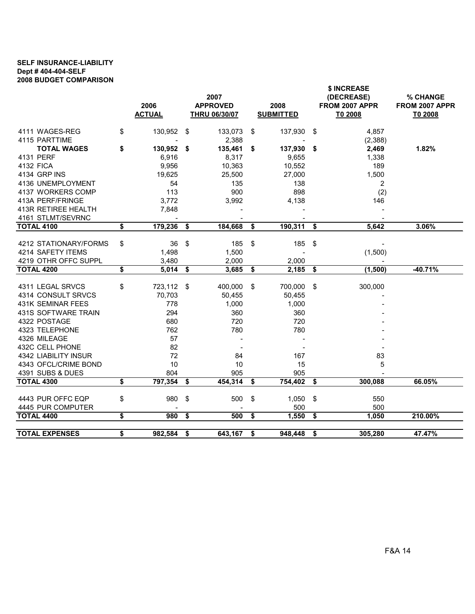#### SELF INSURANCE-LIABILITY Dept # 404-404-SELF 2008 BUDGET COMPARISON

|                                        | 2006             | 2007<br><b>APPROVED</b> | 2008               |                      | \$ INCREASE<br>(DECREASE)<br>FROM 2007 APPR | % CHANGE<br>FROM 2007 APPR |
|----------------------------------------|------------------|-------------------------|--------------------|----------------------|---------------------------------------------|----------------------------|
|                                        | <b>ACTUAL</b>    | <b>THRU 06/30/07</b>    | <b>SUBMITTED</b>   |                      | T0 2008                                     | T0 2008                    |
| 4111 WAGES-REG                         | \$<br>130,952    | \$<br>133,073           | \$<br>137,930      | -\$                  | 4,857                                       |                            |
| 4115 PARTTIME                          |                  | 2,388                   |                    |                      | (2,388)                                     |                            |
| <b>TOTAL WAGES</b>                     | \$<br>130,952    | \$<br>135,461           | \$<br>137,930      | - \$                 | 2,469                                       | 1.82%                      |
| 4131 PERF                              | 6,916            | 8,317                   | 9,655              |                      | 1,338                                       |                            |
| <b>4132 FICA</b>                       | 9,956            | 10,363                  | 10,552             |                      | 189                                         |                            |
| 4134 GRP INS                           | 19,625           | 25,500                  | 27,000             |                      | 1,500                                       |                            |
| 4136 UNEMPLOYMENT                      | 54               | 135                     | 138                |                      | 2                                           |                            |
| 4137 WORKERS COMP                      | 113              | 900                     | 898                |                      | (2)                                         |                            |
| 413A PERF/FRINGE                       | 3,772            | 3,992                   | 4,138              |                      | 146                                         |                            |
| 413R RETIREE HEALTH                    | 7,848            |                         |                    |                      |                                             |                            |
| 4161 STLMT/SEVRNC                      |                  |                         |                    |                      |                                             |                            |
| <b>TOTAL 4100</b>                      | \$<br>179,236    | \$<br>184,668           | \$<br>190,311      | \$                   | 5,642                                       | 3.06%                      |
|                                        |                  |                         |                    |                      |                                             |                            |
| 4212 STATIONARY/FORMS                  | \$<br>36         | \$<br>185               | \$<br>185          | -\$                  |                                             |                            |
| 4214 SAFETY ITEMS                      | 1,498            | 1,500                   |                    |                      | (1,500)                                     |                            |
| 4219 OTHR OFFC SUPPL                   | 3,480            | 2,000                   | 2,000              |                      |                                             |                            |
| <b>TOTAL 4200</b>                      | \$<br>$5,014$ \$ | 3,685                   | \$<br>2,185        | $\overline{\bullet}$ | (1,500)                                     | $-40.71%$                  |
| 4311 LEGAL SRVCS                       | \$<br>723,112    | \$<br>400,000           | \$<br>700,000 \$   |                      | 300,000                                     |                            |
| 4314 CONSULT SRVCS                     | 70,703           | 50,455                  | 50,455             |                      |                                             |                            |
|                                        |                  |                         |                    |                      |                                             |                            |
|                                        |                  |                         |                    |                      |                                             |                            |
| 431K SEMINAR FEES                      | 778              | 1,000                   | 1,000              |                      |                                             |                            |
| 431S SOFTWARE TRAIN                    | 294              | 360                     | 360                |                      |                                             |                            |
| 4322 POSTAGE                           | 680              | 720                     | 720                |                      |                                             |                            |
| 4323 TELEPHONE                         | 762              | 780                     | 780                |                      |                                             |                            |
| 4326 MILEAGE                           | 57               |                         |                    |                      |                                             |                            |
| 432C CELL PHONE                        | 82               |                         |                    |                      |                                             |                            |
| 4342 LIABILITY INSUR                   | 72               | 84                      | 167                |                      | 83                                          |                            |
| 4343 OFCL/CRIME BOND                   | 10               | 10                      | 15                 |                      | 5                                           |                            |
| 4391 SUBS & DUES                       | 804              | 905                     | 905                |                      |                                             |                            |
| <b>TOTAL 4300</b>                      | \$<br>797,354    | \$<br>454,314           | \$<br>754,402      | - \$                 | 300,088                                     | 66.05%                     |
|                                        | \$               |                         |                    |                      |                                             |                            |
| 4443 PUR OFFC EQP                      | 980              | \$<br>500               | \$<br>1,050<br>500 | \$                   | 550<br>500                                  |                            |
| 4445 PUR COMPUTER<br><b>TOTAL 4400</b> | \$<br>980        | \$<br>500               | \$<br>1,550        | $\overline{\bullet}$ | 1,050                                       | 210.00%                    |
| <b>TOTAL EXPENSES</b>                  | \$<br>982,584    | \$<br>643,167           | \$<br>948,448      | \$                   | 305,280                                     | 47.47%                     |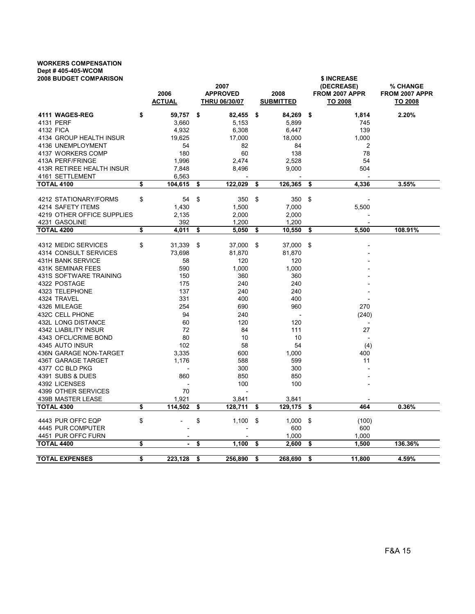## WORKERS COMPENSATION Dept # 405-405-WCOM

| <b>2008 BUDGET COMPARISON</b>                | 2006<br><b>ACTUAL</b> | 2007<br><b>APPROVED</b><br><b>THRU 06/30/07</b> | 2008<br><b>SUBMITTED</b> |     | \$ INCREASE<br>(DECREASE)<br>FROM 2007 APPR<br>TO 2008 | % CHANGE<br>FROM 2007 APPR<br>TO 2008 |
|----------------------------------------------|-----------------------|-------------------------------------------------|--------------------------|-----|--------------------------------------------------------|---------------------------------------|
| 4111 WAGES-REG                               | \$<br>59,757          | \$<br>82,455                                    | \$<br>84,269             | \$  | 1,814                                                  | 2.20%                                 |
| 4131 PERF                                    | 3,660                 | 5,153                                           | 5,899                    |     | 745                                                    |                                       |
| 4132 FICA                                    | 4,932                 | 6,308                                           | 6,447                    |     | 139                                                    |                                       |
| 4134 GROUP HEALTH INSUR                      | 19,625                | 17,000                                          | 18,000                   |     | 1,000                                                  |                                       |
| 4136 UNEMPLOYMENT                            | 54                    | 82                                              | 84                       |     | 2                                                      |                                       |
| 4137 WORKERS COMP                            | 180                   | 60                                              | 138                      |     | 78                                                     |                                       |
| 413A PERF/FRINGE                             | 1,996                 | 2,474                                           | 2,528                    |     | 54                                                     |                                       |
| 413R RETIREE HEALTH INSUR                    | 7,848                 | 8,496                                           | 9,000                    |     | 504                                                    |                                       |
| 4161 SETTLEMENT                              | 6,563                 |                                                 |                          |     |                                                        |                                       |
| <b>TOTAL 4100</b>                            | \$<br>104,615         | \$<br>122,029                                   | \$<br>126,365            | \$  | 4,336                                                  | 3.55%                                 |
| 4212 STATIONARY/FORMS                        | \$<br>54              | \$<br>350                                       | \$<br>350                | \$  |                                                        |                                       |
| 4214 SAFETY ITEMS                            | 1,430                 | 1,500                                           | 7,000                    |     | 5,500                                                  |                                       |
| 4219 OTHER OFFICE SUPPLIES                   | 2,135                 | 2,000                                           | 2,000                    |     |                                                        |                                       |
| 4231 GASOLINE                                | 392                   | 1,200                                           | 1,200                    |     |                                                        |                                       |
| <b>TOTAL 4200</b>                            | \$<br>4,011           | \$<br>5,050                                     | \$<br>10,550             | \$  | 5,500                                                  | 108.91%                               |
|                                              |                       |                                                 |                          |     |                                                        |                                       |
| 4312 MEDIC SERVICES<br>4314 CONSULT SERVICES | \$<br>31,339          | \$<br>37,000                                    | \$<br>37,000             | -\$ |                                                        |                                       |
| <b>431H BANK SERVICE</b>                     | 73,698                | 81,870                                          | 81,870                   |     |                                                        |                                       |
| <b>431K SEMINAR FEES</b>                     | 58<br>590             | 120                                             | 120                      |     |                                                        |                                       |
| 431S SOFTWARE TRAINING                       | 150                   | 1,000<br>360                                    | 1,000<br>360             |     |                                                        |                                       |
| 4322 POSTAGE                                 |                       |                                                 | 240                      |     |                                                        |                                       |
| 4323 TELEPHONE                               | 175<br>137            | 240<br>240                                      | 240                      |     |                                                        |                                       |
| 4324 TRAVEL                                  | 331                   | 400                                             | 400                      |     |                                                        |                                       |
| 4326 MILEAGE                                 | 254                   | 690                                             | 960                      |     | 270                                                    |                                       |
| 432C CELL PHONE                              | 94                    | 240                                             |                          |     |                                                        |                                       |
| 432L LONG DISTANCE                           | 60                    | 120                                             | 120                      |     | (240)                                                  |                                       |
| <b>4342 LIABILITY INSUR</b>                  | 72                    | 84                                              | 111                      |     | 27                                                     |                                       |
| 4343 OFCL/CRIME BOND                         | 80                    | 10                                              | 10                       |     | $\overline{\phantom{a}}$                               |                                       |
| 4345 AUTO INSUR                              | 102                   | 58                                              | 54                       |     | (4)                                                    |                                       |
| 436N GARAGE NON-TARGET                       | 3,335                 | 600                                             | 1,000                    |     | 400                                                    |                                       |
| 436T GARAGE TARGET                           | 1.176                 | 588                                             | 599                      |     | 11                                                     |                                       |
| 4377 CC BLD PKG                              |                       | 300                                             | 300                      |     |                                                        |                                       |
| 4391 SUBS & DUES                             | 860                   | 850                                             | 850                      |     |                                                        |                                       |
| 4392 LICENSES                                |                       | 100                                             | 100                      |     |                                                        |                                       |
| 4399 OTHER SERVICES                          | 70                    |                                                 |                          |     |                                                        |                                       |
| 439B MASTER LEASE                            | 1,921                 | 3,841                                           | 3,841                    |     |                                                        |                                       |
| <b>TOTAL 4300</b>                            | \$<br>114,502         | \$<br>128,711                                   | \$<br>129,175            | \$  | 464                                                    | 0.36%                                 |
| 4443 PUR OFFC EQP                            | \$                    | \$<br>1,100                                     | \$<br>1,000              | \$  | (100)                                                  |                                       |
| 4445 PUR COMPUTER                            |                       |                                                 | 600                      |     | 600                                                    |                                       |
| 4451 PUR OFFC FURN                           |                       |                                                 | 1,000                    |     | 1,000                                                  |                                       |
| <b>TOTAL 4400</b>                            | \$<br>$\blacksquare$  | \$<br>1,100                                     | \$<br>2,600              | \$  | 1,500                                                  | 136.36%                               |
|                                              |                       |                                                 |                          |     |                                                        |                                       |
| <b>TOTAL EXPENSES</b>                        | \$<br>223,128         | \$<br>256,890                                   | \$<br>268,690            | \$  | 11,800                                                 | 4.59%                                 |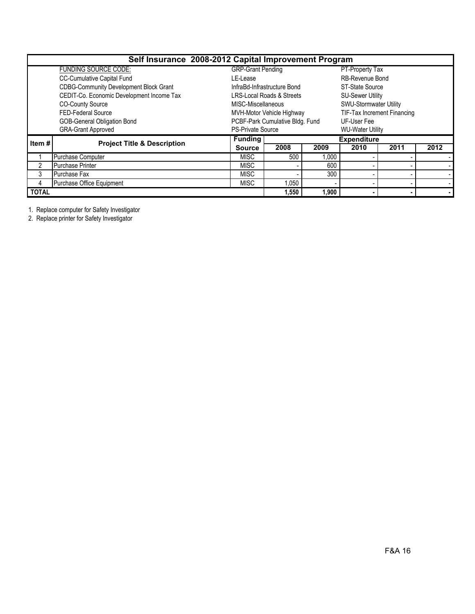|               |                                               | Self Insurance 2008-2012 Capital Improvement Program |                                 |                             |                        |      |      |  |  |
|---------------|-----------------------------------------------|------------------------------------------------------|---------------------------------|-----------------------------|------------------------|------|------|--|--|
|               | <b>FUNDING SOURCE CODE:</b>                   | <b>GRP-Grant Pending</b>                             |                                 | PT-Property Tax             |                        |      |      |  |  |
|               | <b>CC-Cumulative Capital Fund</b>             | LE-Lease                                             |                                 |                             | <b>RB-Revenue Bond</b> |      |      |  |  |
|               | <b>CDBG-Community Development Block Grant</b> |                                                      | InfraBd-Infrastructure Bond     |                             | <b>ST-State Source</b> |      |      |  |  |
|               | CEDIT-Co. Economic Development Income Tax     | <b>LRS-Local Roads &amp; Streets</b>                 |                                 | <b>SU-Sewer Utility</b>     |                        |      |      |  |  |
|               | <b>CO-County Source</b>                       | MISC-Miscellaneous                                   |                                 | SWU-Stormwater Utility      |                        |      |      |  |  |
|               | <b>FED-Federal Source</b>                     | MVH-Motor Vehicle Highway                            |                                 | TIF-Tax Increment Financing |                        |      |      |  |  |
|               | <b>GOB-General Obligation Bond</b>            |                                                      | PCBF-Park Cumulative Bldg. Fund |                             | UF-User Fee            |      |      |  |  |
|               | <b>GRA-Grant Approved</b>                     | <b>PS-Private Source</b>                             | <b>WU-Water Utility</b>         |                             |                        |      |      |  |  |
| Item $#$      | <b>Project Title &amp; Description</b>        | <b>Funding</b>                                       | <b>Expenditure</b>              |                             |                        |      |      |  |  |
|               |                                               | <b>Source</b>                                        | 2008                            | 2009                        | 2010                   | 2011 | 2012 |  |  |
|               | Purchase Computer                             | <b>MISC</b>                                          | 500                             | 1,000                       |                        |      |      |  |  |
| $\mathcal{P}$ | <b>Purchase Printer</b>                       | <b>MISC</b>                                          |                                 | 600                         |                        |      |      |  |  |
| 3             | Purchase Fax                                  | <b>MISC</b>                                          |                                 | 300                         |                        |      |      |  |  |
| 4             | Purchase Office Equipment                     | <b>MISC</b>                                          | 1,050                           |                             |                        |      |      |  |  |
| <b>TOTAL</b>  |                                               |                                                      | 1,550                           | 1,900                       |                        |      |      |  |  |

1. Replace computer for Safety Investigator

2. Replace printer for Safety Investigator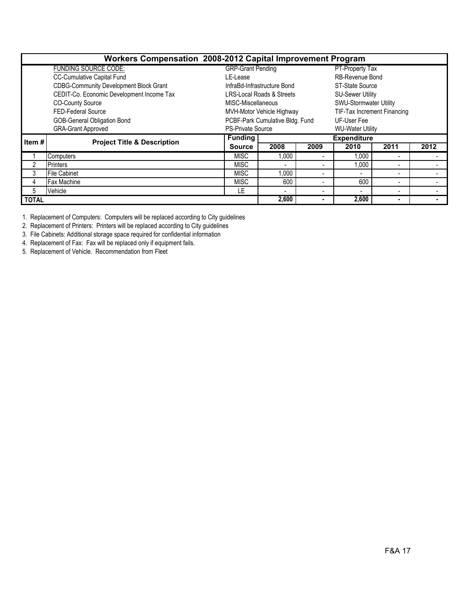|              | Workers Compensation 2008-2012 Capital Improvement Program |                          |                                  |      |                               |                          |      |  |  |  |
|--------------|------------------------------------------------------------|--------------------------|----------------------------------|------|-------------------------------|--------------------------|------|--|--|--|
|              | <b>FUNDING SOURCE CODE:</b>                                | <b>GRP-Grant Pending</b> |                                  |      | PT-Property Tax               |                          |      |  |  |  |
|              | <b>CC-Cumulative Capital Fund</b>                          | LE-Lease                 |                                  |      | <b>RB-Revenue Bond</b>        |                          |      |  |  |  |
|              | <b>CDBG-Community Development Block Grant</b>              |                          | InfraBd-Infrastructure Bond      |      | ST-State Source               |                          |      |  |  |  |
|              | CEDIT-Co. Economic Development Income Tax                  |                          | LRS-Local Roads & Streets        |      | <b>SU-Sewer Utility</b>       |                          |      |  |  |  |
|              | <b>CO-County Source</b>                                    | MISC-Miscellaneous       |                                  |      | <b>SWU-Stormwater Utility</b> |                          |      |  |  |  |
|              | <b>FED-Federal Source</b>                                  |                          | <b>MVH-Motor Vehicle Highway</b> |      | TIF-Tax Increment Financing   |                          |      |  |  |  |
|              | <b>GOB-General Obligation Bond</b>                         |                          | PCBF-Park Cumulative Bldg. Fund  |      | UF-User Fee                   |                          |      |  |  |  |
|              | <b>GRA-Grant Approved</b>                                  | <b>PS-Private Source</b> |                                  |      | <b>WU-Water Utility</b>       |                          |      |  |  |  |
| Item #       | <b>Project Title &amp; Description</b>                     | <b>Funding</b>           |                                  |      | <b>Expenditure</b>            |                          |      |  |  |  |
|              |                                                            | <b>Source</b>            | 2008                             | 2009 | 2010                          | 2011                     | 2012 |  |  |  |
|              | Computers                                                  | <b>MISC</b>              | 1,000                            |      | 1,000                         |                          |      |  |  |  |
| 2            | <b>Printers</b>                                            | <b>MISC</b>              | ۰                                |      | 1,000                         | ٠                        |      |  |  |  |
| 3            | File Cabinet                                               | <b>MISC</b>              | 1,000                            |      |                               | $\overline{\phantom{0}}$ |      |  |  |  |
| 4            | <b>Fax Machine</b>                                         | <b>MISC</b>              | 600                              |      | 600                           | $\overline{\phantom{0}}$ |      |  |  |  |
| 5            | Vehicle                                                    | LE                       | $\overline{\phantom{0}}$         |      |                               |                          |      |  |  |  |
| <b>TOTAL</b> |                                                            |                          | 2,600                            |      | 2,600                         | $\blacksquare$           |      |  |  |  |

1. Replacement of Computers: Computers will be replaced according to City guidelines

2. Replacement of Printers: Printers will be replaced according to City guidelines

3. File Cabinets: Additional storage space required for confidential information

4. Replacement of Fax: Fax will be replaced only if equipment fails.

5. Replacement of Vehicle. Recommendation from Fleet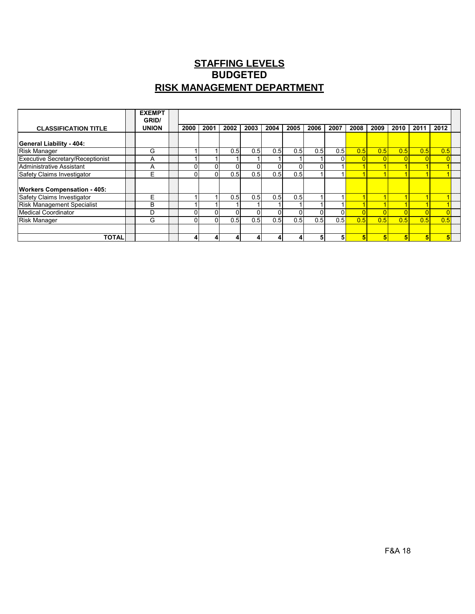# **STAFFING LEVELS RISK MANAGEMENT DEPARTMENT BUDGETED**

|                                         | <b>EXEMPT</b><br>GRID/ |          |      |      |      |      |      |      |      |      |      |      |      |      |  |
|-----------------------------------------|------------------------|----------|------|------|------|------|------|------|------|------|------|------|------|------|--|
| <b>CLASSIFICATION TITLE</b>             | <b>UNION</b>           | 2000     | 2001 | 2002 | 2003 | 2004 | 2005 | 2006 | 2007 | 2008 | 2009 | 2010 | 2011 | 2012 |  |
| <b>General Liability - 404:</b>         |                        |          |      |      |      |      |      |      |      |      |      |      |      |      |  |
| <b>Risk Manager</b>                     | G                      |          |      | 0.5  | 0.5  | 0.5  | 0.5  | 0.5  | 0.5  | 0.5  | 0.5  | 0.5  | 0.5  | 0.5  |  |
| <b>Executive Secretary/Receptionist</b> | А                      |          |      |      |      |      |      |      |      |      |      |      |      |      |  |
| Administrative Assistant                | A                      |          |      |      |      | n.   |      |      |      |      |      |      |      |      |  |
| Safety Claims Investigator              | F                      | $\Omega$ |      | 0.5  | 0.5I | 0.5  | 0.5  |      |      |      |      |      |      |      |  |
| <b>Workers Compensation - 405:</b>      |                        |          |      |      |      |      |      |      |      |      |      |      |      |      |  |
| Safety Claims Investigator              | ⊢                      |          |      | 0.51 | 0.5I | 0.51 | 0.5  |      |      |      |      |      |      |      |  |
| <b>Risk Management Specialist</b>       | B                      |          |      |      |      |      |      |      |      |      |      |      |      |      |  |
| <b>Medical Coordinator</b>              | D                      | $\Omega$ |      |      |      | ΩI   |      |      |      |      |      |      |      |      |  |
| <b>Risk Manager</b>                     | G                      | $\Omega$ |      | 0.51 | 0.5I | 0.5  | 0.5  | 0.5  | 0.5  | 0.5  | 0.5  | 0.5  | 0.5  | 0.5  |  |
|                                         |                        |          |      |      |      |      |      |      |      |      |      |      |      |      |  |
| <b>TOTALI</b>                           |                        |          |      |      |      |      |      |      |      |      |      |      |      |      |  |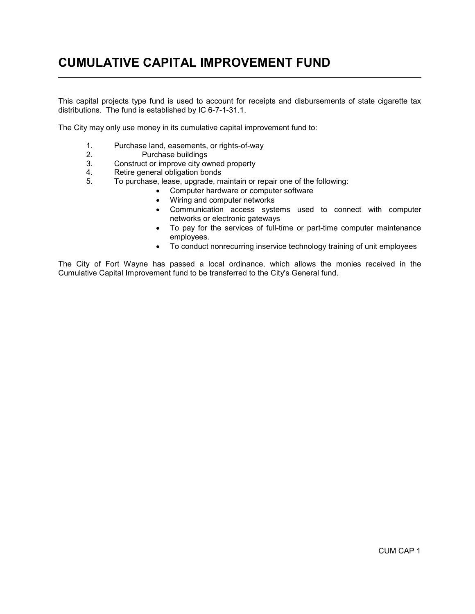# CUMULATIVE CAPITAL IMPROVEMENT FUND  $\overline{a}$

This capital projects type fund is used to account for receipts and disbursements of state cigarette tax distributions. The fund is established by IC 6-7-1-31.1.

The City may only use money in its cumulative capital improvement fund to:

- 1. Purchase land, easements, or rights-of-way<br>2. Purchase buildings
- 2. Purchase buildings<br>3. Construct or improve city ov
- Construct or improve city owned property
- 4. Retire general obligation bonds
- 5. To purchase, lease, upgrade, maintain or repair one of the following:
	- Computer hardware or computer software
	- Wiring and computer networks
	- Communication access systems used to connect with computer networks or electronic gateways
	- To pay for the services of full-time or part-time computer maintenance employees.
	- To conduct nonrecurring inservice technology training of unit employees

The City of Fort Wayne has passed a local ordinance, which allows the monies received in the Cumulative Capital Improvement fund to be transferred to the City's General fund.